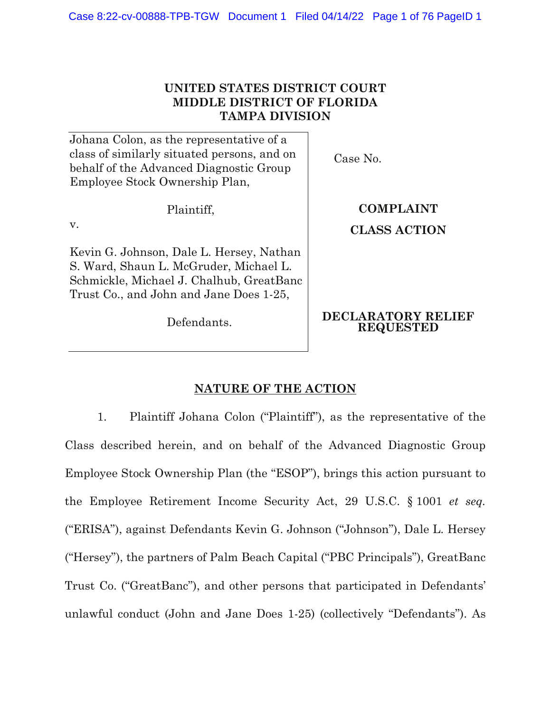# **UNITED STATES DISTRICT COURT MIDDLE DISTRICT OF FLORIDA TAMPA DIVISION**

Johana Colon, as the representative of a class of similarly situated persons, and on behalf of the Advanced Diagnostic Group Employee Stock Ownership Plan,

Plaintiff,

v.

Kevin G. Johnson, Dale L. Hersey, Nathan S. Ward, Shaun L. McGruder, Michael L. Schmickle, Michael J. Chalhub, GreatBanc Trust Co., and John and Jane Does 1-25,

Defendants.

Case No.

**COMPLAINT CLASS ACTION**

# **DECLARATORY RELIEF REQUESTED**

# **NATURE OF THE ACTION**

1. Plaintiff Johana Colon ("Plaintiff"), as the representative of the Class described herein, and on behalf of the Advanced Diagnostic Group Employee Stock Ownership Plan (the "ESOP"), brings this action pursuant to the Employee Retirement Income Security Act, 29 U.S.C. § 1001 *et seq.* ("ERISA"), against Defendants Kevin G. Johnson ("Johnson"), Dale L. Hersey ("Hersey"), the partners of Palm Beach Capital ("PBC Principals"), GreatBanc Trust Co. ("GreatBanc"), and other persons that participated in Defendants' unlawful conduct (John and Jane Does 1-25) (collectively "Defendants"). As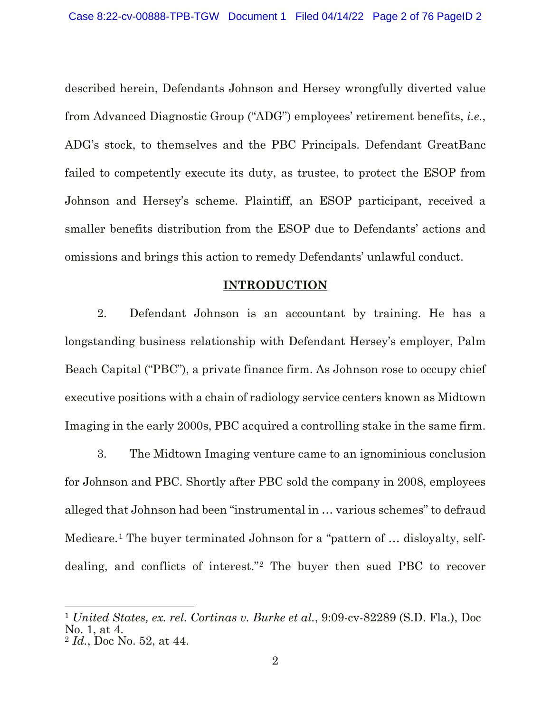described herein, Defendants Johnson and Hersey wrongfully diverted value from Advanced Diagnostic Group ("ADG") employees' retirement benefits, *i.e.*, ADG's stock, to themselves and the PBC Principals. Defendant GreatBanc failed to competently execute its duty, as trustee, to protect the ESOP from Johnson and Hersey's scheme. Plaintiff, an ESOP participant, received a smaller benefits distribution from the ESOP due to Defendants' actions and omissions and brings this action to remedy Defendants' unlawful conduct.

## **INTRODUCTION**

2. Defendant Johnson is an accountant by training. He has a longstanding business relationship with Defendant Hersey's employer, Palm Beach Capital ("PBC"), a private finance firm. As Johnson rose to occupy chief executive positions with a chain of radiology service centers known as Midtown Imaging in the early 2000s, PBC acquired a controlling stake in the same firm.

3. The Midtown Imaging venture came to an ignominious conclusion for Johnson and PBC. Shortly after PBC sold the company in 2008, employees alleged that Johnson had been "instrumental in … various schemes" to defraud Medicare.<sup>[1](#page-1-0)</sup> The buyer terminated Johnson for a "pattern of ... disloyalty, selfdealing, and conflicts of interest."[2](#page-1-1) The buyer then sued PBC to recover

 $\overline{a}$ 

<span id="page-1-0"></span><sup>1</sup> *United States, ex. rel. Cortinas v. Burke et al.*, 9:09-cv-82289 (S.D. Fla.), Doc No. 1, at 4.

<span id="page-1-1"></span><sup>2</sup> *Id.*, Doc No. 52, at 44.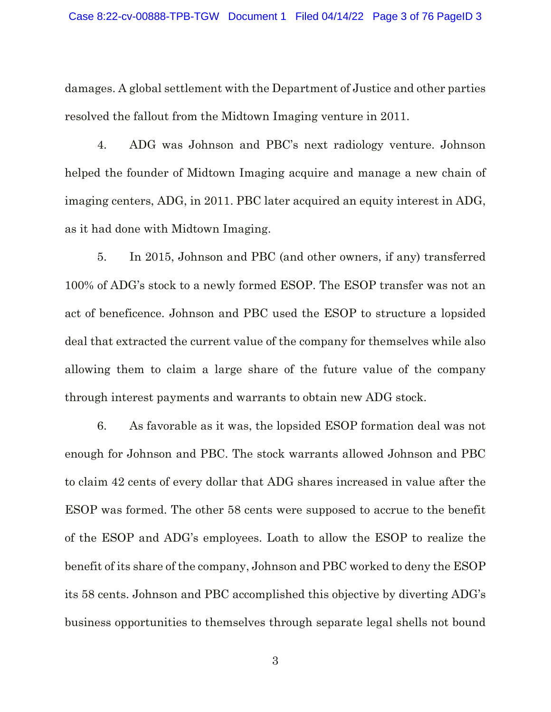damages. A global settlement with the Department of Justice and other parties resolved the fallout from the Midtown Imaging venture in 2011.

4. ADG was Johnson and PBC's next radiology venture. Johnson helped the founder of Midtown Imaging acquire and manage a new chain of imaging centers, ADG, in 2011. PBC later acquired an equity interest in ADG, as it had done with Midtown Imaging.

5. In 2015, Johnson and PBC (and other owners, if any) transferred 100% of ADG's stock to a newly formed ESOP. The ESOP transfer was not an act of beneficence. Johnson and PBC used the ESOP to structure a lopsided deal that extracted the current value of the company for themselves while also allowing them to claim a large share of the future value of the company through interest payments and warrants to obtain new ADG stock.

6. As favorable as it was, the lopsided ESOP formation deal was not enough for Johnson and PBC. The stock warrants allowed Johnson and PBC to claim 42 cents of every dollar that ADG shares increased in value after the ESOP was formed. The other 58 cents were supposed to accrue to the benefit of the ESOP and ADG's employees. Loath to allow the ESOP to realize the benefit of its share of the company, Johnson and PBC worked to deny the ESOP its 58 cents. Johnson and PBC accomplished this objective by diverting ADG's business opportunities to themselves through separate legal shells not bound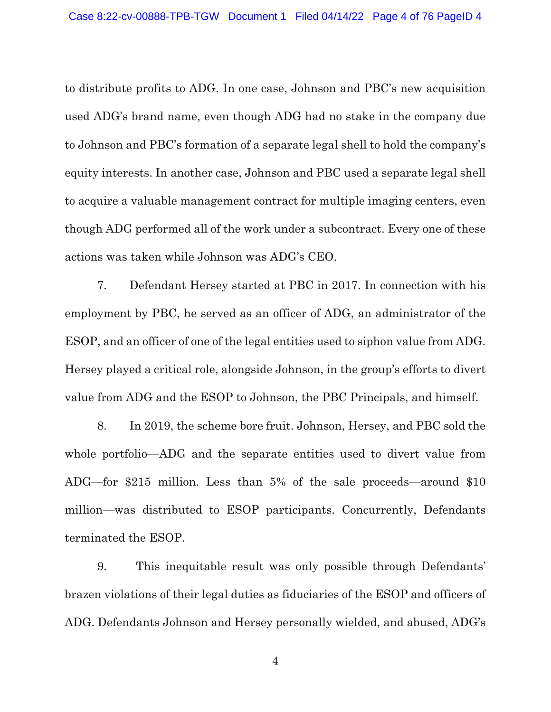to distribute profits to ADG. In one case, Johnson and PBC's new acquisition used ADG's brand name, even though ADG had no stake in the company due to Johnson and PBC's formation of a separate legal shell to hold the company's equity interests. In another case, Johnson and PBC used a separate legal shell to acquire a valuable management contract for multiple imaging centers, even though ADG performed all of the work under a subcontract. Every one of these actions was taken while Johnson was ADG's CEO.

7. Defendant Hersey started at PBC in 2017. In connection with his employment by PBC, he served as an officer of ADG, an administrator of the ESOP, and an officer of one of the legal entities used to siphon value from ADG. Hersey played a critical role, alongside Johnson, in the group's efforts to divert value from ADG and the ESOP to Johnson, the PBC Principals, and himself.

8. In 2019, the scheme bore fruit. Johnson, Hersey, and PBC sold the whole portfolio—ADG and the separate entities used to divert value from ADG—for \$215 million. Less than 5% of the sale proceeds—around \$10 million—was distributed to ESOP participants. Concurrently, Defendants terminated the ESOP.

9. This inequitable result was only possible through Defendants' brazen violations of their legal duties as fiduciaries of the ESOP and officers of ADG. Defendants Johnson and Hersey personally wielded, and abused, ADG's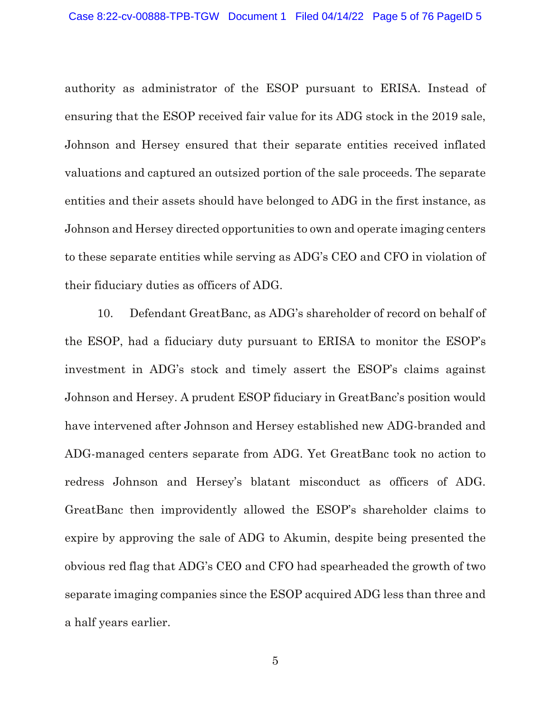authority as administrator of the ESOP pursuant to ERISA. Instead of ensuring that the ESOP received fair value for its ADG stock in the 2019 sale, Johnson and Hersey ensured that their separate entities received inflated valuations and captured an outsized portion of the sale proceeds. The separate entities and their assets should have belonged to ADG in the first instance, as Johnson and Hersey directed opportunities to own and operate imaging centers to these separate entities while serving as ADG's CEO and CFO in violation of their fiduciary duties as officers of ADG.

10. Defendant GreatBanc, as ADG's shareholder of record on behalf of the ESOP, had a fiduciary duty pursuant to ERISA to monitor the ESOP's investment in ADG's stock and timely assert the ESOP's claims against Johnson and Hersey. A prudent ESOP fiduciary in GreatBanc's position would have intervened after Johnson and Hersey established new ADG-branded and ADG-managed centers separate from ADG. Yet GreatBanc took no action to redress Johnson and Hersey's blatant misconduct as officers of ADG. GreatBanc then improvidently allowed the ESOP's shareholder claims to expire by approving the sale of ADG to Akumin, despite being presented the obvious red flag that ADG's CEO and CFO had spearheaded the growth of two separate imaging companies since the ESOP acquired ADG less than three and a half years earlier.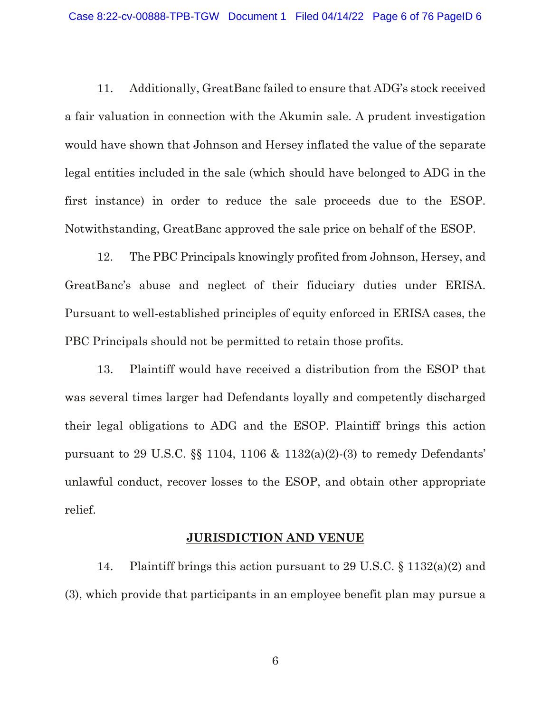11. Additionally, GreatBanc failed to ensure that ADG's stock received a fair valuation in connection with the Akumin sale. A prudent investigation would have shown that Johnson and Hersey inflated the value of the separate legal entities included in the sale (which should have belonged to ADG in the first instance) in order to reduce the sale proceeds due to the ESOP. Notwithstanding, GreatBanc approved the sale price on behalf of the ESOP.

12. The PBC Principals knowingly profited from Johnson, Hersey, and GreatBanc's abuse and neglect of their fiduciary duties under ERISA. Pursuant to well-established principles of equity enforced in ERISA cases, the PBC Principals should not be permitted to retain those profits.

13. Plaintiff would have received a distribution from the ESOP that was several times larger had Defendants loyally and competently discharged their legal obligations to ADG and the ESOP. Plaintiff brings this action pursuant to 29 U.S.C. §§ 1104, 1106 & 1132(a)(2)-(3) to remedy Defendants' unlawful conduct, recover losses to the ESOP, and obtain other appropriate relief.

## **JURISDICTION AND VENUE**

14. Plaintiff brings this action pursuant to 29 U.S.C. § 1132(a)(2) and (3), which provide that participants in an employee benefit plan may pursue a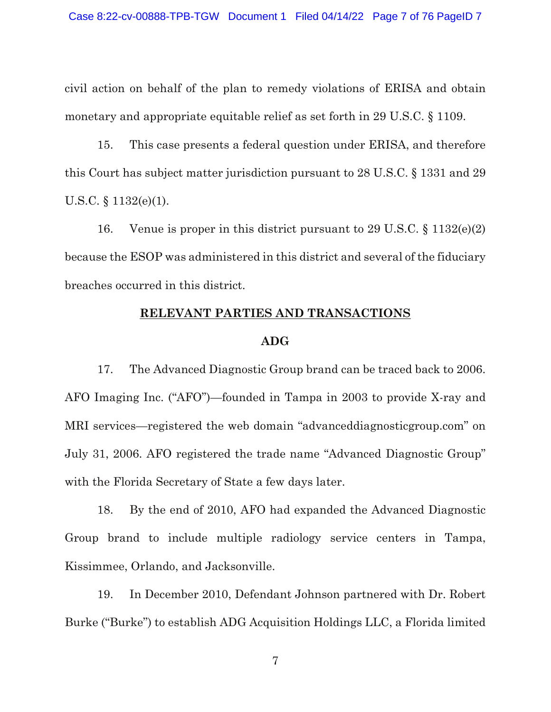civil action on behalf of the plan to remedy violations of ERISA and obtain monetary and appropriate equitable relief as set forth in 29 U.S.C. § 1109.

15. This case presents a federal question under ERISA, and therefore this Court has subject matter jurisdiction pursuant to 28 U.S.C. § 1331 and 29 U.S.C. § 1132(e)(1).

16. Venue is proper in this district pursuant to 29 U.S.C. § 1132(e)(2) because the ESOP was administered in this district and several of the fiduciary breaches occurred in this district.

## **RELEVANT PARTIES AND TRANSACTIONS**

## **ADG**

17. The Advanced Diagnostic Group brand can be traced back to 2006. AFO Imaging Inc. ("AFO")—founded in Tampa in 2003 to provide X-ray and MRI services—registered the web domain "advanceddiagnosticgroup.com" on July 31, 2006. AFO registered the trade name "Advanced Diagnostic Group" with the Florida Secretary of State a few days later.

18. By the end of 2010, AFO had expanded the Advanced Diagnostic Group brand to include multiple radiology service centers in Tampa, Kissimmee, Orlando, and Jacksonville.

19. In December 2010, Defendant Johnson partnered with Dr. Robert Burke ("Burke") to establish ADG Acquisition Holdings LLC, a Florida limited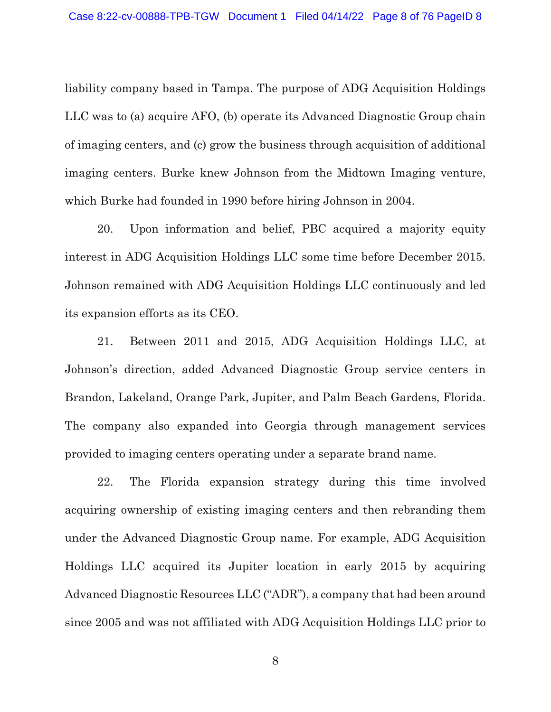liability company based in Tampa. The purpose of ADG Acquisition Holdings LLC was to (a) acquire AFO, (b) operate its Advanced Diagnostic Group chain of imaging centers, and (c) grow the business through acquisition of additional imaging centers. Burke knew Johnson from the Midtown Imaging venture, which Burke had founded in 1990 before hiring Johnson in 2004.

20. Upon information and belief, PBC acquired a majority equity interest in ADG Acquisition Holdings LLC some time before December 2015. Johnson remained with ADG Acquisition Holdings LLC continuously and led its expansion efforts as its CEO.

21. Between 2011 and 2015, ADG Acquisition Holdings LLC, at Johnson's direction, added Advanced Diagnostic Group service centers in Brandon, Lakeland, Orange Park, Jupiter, and Palm Beach Gardens, Florida. The company also expanded into Georgia through management services provided to imaging centers operating under a separate brand name.

22. The Florida expansion strategy during this time involved acquiring ownership of existing imaging centers and then rebranding them under the Advanced Diagnostic Group name. For example, ADG Acquisition Holdings LLC acquired its Jupiter location in early 2015 by acquiring Advanced Diagnostic Resources LLC ("ADR"), a company that had been around since 2005 and was not affiliated with ADG Acquisition Holdings LLC prior to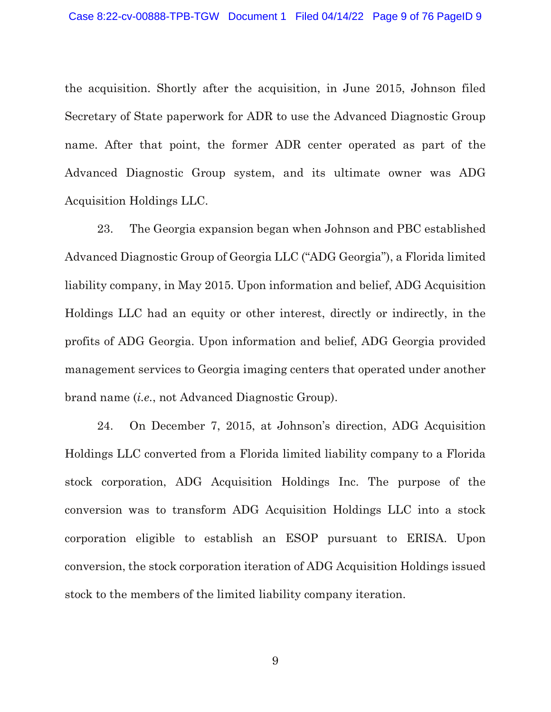the acquisition. Shortly after the acquisition, in June 2015, Johnson filed Secretary of State paperwork for ADR to use the Advanced Diagnostic Group name. After that point, the former ADR center operated as part of the Advanced Diagnostic Group system, and its ultimate owner was ADG Acquisition Holdings LLC.

23. The Georgia expansion began when Johnson and PBC established Advanced Diagnostic Group of Georgia LLC ("ADG Georgia"), a Florida limited liability company, in May 2015. Upon information and belief, ADG Acquisition Holdings LLC had an equity or other interest, directly or indirectly, in the profits of ADG Georgia. Upon information and belief, ADG Georgia provided management services to Georgia imaging centers that operated under another brand name (*i.e.*, not Advanced Diagnostic Group).

24. On December 7, 2015, at Johnson's direction, ADG Acquisition Holdings LLC converted from a Florida limited liability company to a Florida stock corporation, ADG Acquisition Holdings Inc. The purpose of the conversion was to transform ADG Acquisition Holdings LLC into a stock corporation eligible to establish an ESOP pursuant to ERISA. Upon conversion, the stock corporation iteration of ADG Acquisition Holdings issued stock to the members of the limited liability company iteration.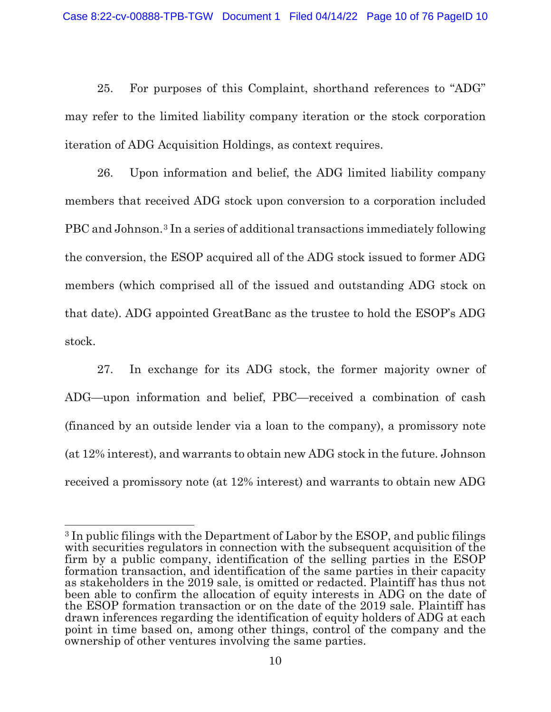25. For purposes of this Complaint, shorthand references to "ADG" may refer to the limited liability company iteration or the stock corporation iteration of ADG Acquisition Holdings, as context requires.

26. Upon information and belief, the ADG limited liability company members that received ADG stock upon conversion to a corporation included PBC and Johnson.[3](#page-9-0) In a series of additional transactions immediately following the conversion, the ESOP acquired all of the ADG stock issued to former ADG members (which comprised all of the issued and outstanding ADG stock on that date). ADG appointed GreatBanc as the trustee to hold the ESOP's ADG stock.

27. In exchange for its ADG stock, the former majority owner of ADG—upon information and belief, PBC—received a combination of cash (financed by an outside lender via a loan to the company), a promissory note (at 12% interest), and warrants to obtain new ADG stock in the future. Johnson received a promissory note (at 12% interest) and warrants to obtain new ADG

<span id="page-9-0"></span> $\overline{a}$ <sup>3</sup> In public filings with the Department of Labor by the ESOP, and public filings with securities regulators in connection with the subsequent acquisition of the firm by a public company, identification of the selling parties in the ESOP formation transaction, and identification of the same parties in their capacity as stakeholders in the 2019 sale, is omitted or redacted. Plaintiff has thus not been able to confirm the allocation of equity interests in ADG on the date of the ESOP formation transaction or on the date of the 2019 sale. Plaintiff has drawn inferences regarding the identification of equity holders of ADG at each point in time based on, among other things, control of the company and the ownership of other ventures involving the same parties.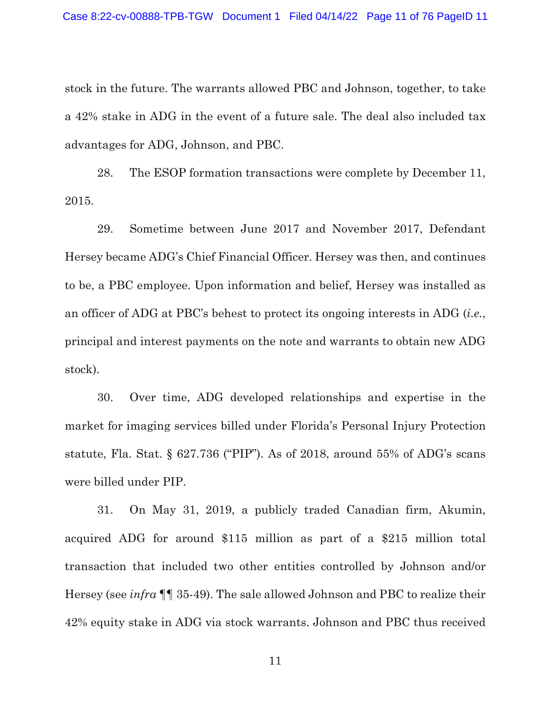stock in the future. The warrants allowed PBC and Johnson, together, to take a 42% stake in ADG in the event of a future sale. The deal also included tax advantages for ADG, Johnson, and PBC.

28. The ESOP formation transactions were complete by December 11, 2015.

29. Sometime between June 2017 and November 2017, Defendant Hersey became ADG's Chief Financial Officer. Hersey was then, and continues to be, a PBC employee. Upon information and belief, Hersey was installed as an officer of ADG at PBC's behest to protect its ongoing interests in ADG (*i.e.*, principal and interest payments on the note and warrants to obtain new ADG stock).

30. Over time, ADG developed relationships and expertise in the market for imaging services billed under Florida's Personal Injury Protection statute, Fla. Stat. § 627.736 ("PIP"). As of 2018, around 55% of ADG's scans were billed under PIP.

31. On May 31, 2019, a publicly traded Canadian firm, Akumin, acquired ADG for around \$115 million as part of a \$215 million total transaction that included two other entities controlled by Johnson and/or Hersey (see *infra* ¶¶ 35-49). The sale allowed Johnson and PBC to realize their 42% equity stake in ADG via stock warrants. Johnson and PBC thus received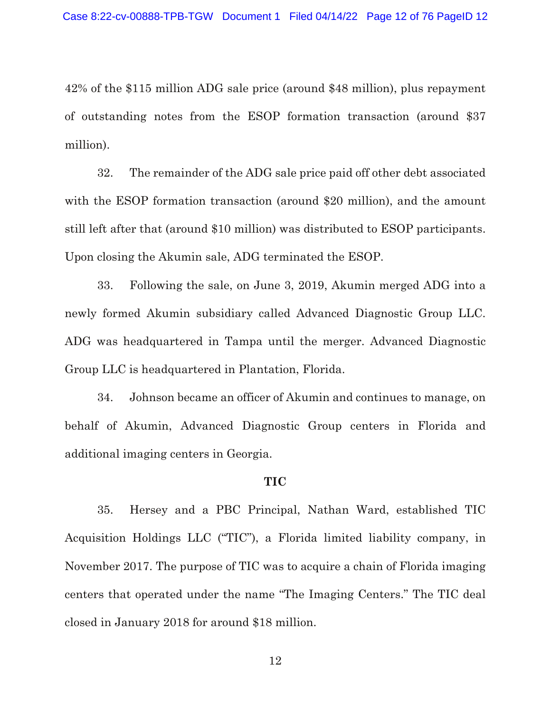42% of the \$115 million ADG sale price (around \$48 million), plus repayment of outstanding notes from the ESOP formation transaction (around \$37 million).

32. The remainder of the ADG sale price paid off other debt associated with the ESOP formation transaction (around \$20 million), and the amount still left after that (around \$10 million) was distributed to ESOP participants. Upon closing the Akumin sale, ADG terminated the ESOP.

33. Following the sale, on June 3, 2019, Akumin merged ADG into a newly formed Akumin subsidiary called Advanced Diagnostic Group LLC. ADG was headquartered in Tampa until the merger. Advanced Diagnostic Group LLC is headquartered in Plantation, Florida.

34. Johnson became an officer of Akumin and continues to manage, on behalf of Akumin, Advanced Diagnostic Group centers in Florida and additional imaging centers in Georgia.

## **TIC**

35. Hersey and a PBC Principal, Nathan Ward, established TIC Acquisition Holdings LLC ("TIC"), a Florida limited liability company, in November 2017. The purpose of TIC was to acquire a chain of Florida imaging centers that operated under the name "The Imaging Centers." The TIC deal closed in January 2018 for around \$18 million.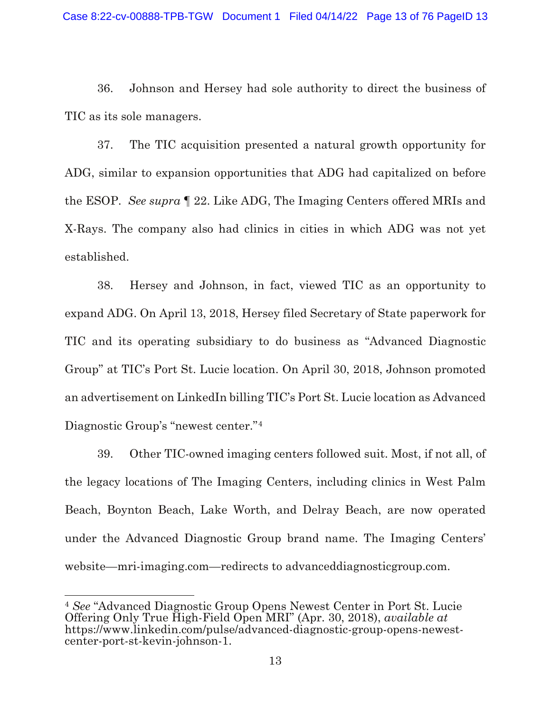36. Johnson and Hersey had sole authority to direct the business of TIC as its sole managers.

37. The TIC acquisition presented a natural growth opportunity for ADG, similar to expansion opportunities that ADG had capitalized on before the ESOP. *See supra* ¶ 22. Like ADG, The Imaging Centers offered MRIs and X-Rays. The company also had clinics in cities in which ADG was not yet established.

38. Hersey and Johnson, in fact, viewed TIC as an opportunity to expand ADG. On April 13, 2018, Hersey filed Secretary of State paperwork for TIC and its operating subsidiary to do business as "Advanced Diagnostic Group" at TIC's Port St. Lucie location. On April 30, 2018, Johnson promoted an advertisement on LinkedIn billing TIC's Port St. Lucie location as Advanced Diagnostic Group's "newest center."[4](#page-12-0)

39. Other TIC-owned imaging centers followed suit. Most, if not all, of the legacy locations of The Imaging Centers, including clinics in West Palm Beach, Boynton Beach, Lake Worth, and Delray Beach, are now operated under the Advanced Diagnostic Group brand name. The Imaging Centers' website—mri-imaging.com—redirects to advanceddiagnosticgroup.com.

 $\overline{a}$ 

<span id="page-12-0"></span><sup>4</sup> *See* "Advanced Diagnostic Group Opens Newest Center in Port St. Lucie Offering Only True High-Field Open MRI" (Apr. 30, 2018), *available at* https://www.linkedin.com/pulse/advanced-diagnostic-group-opens-newestcenter-port-st-kevin-johnson-1.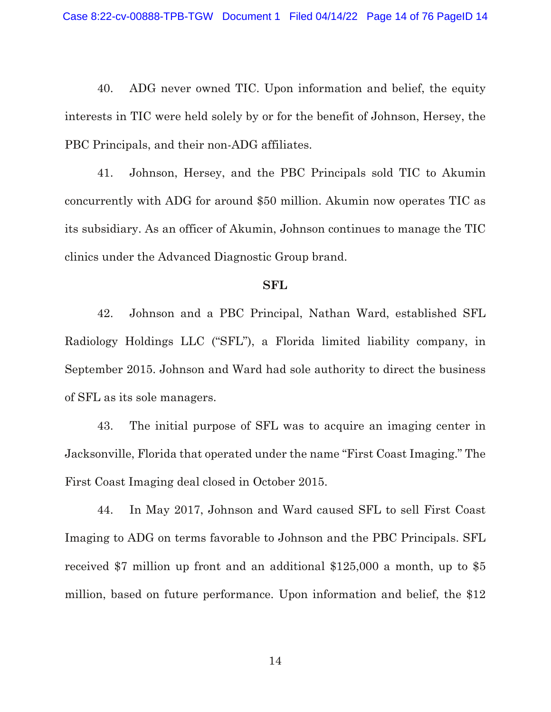40. ADG never owned TIC. Upon information and belief, the equity interests in TIC were held solely by or for the benefit of Johnson, Hersey, the PBC Principals, and their non-ADG affiliates.

41. Johnson, Hersey, and the PBC Principals sold TIC to Akumin concurrently with ADG for around \$50 million. Akumin now operates TIC as its subsidiary. As an officer of Akumin, Johnson continues to manage the TIC clinics under the Advanced Diagnostic Group brand.

#### **SFL**

42. Johnson and a PBC Principal, Nathan Ward, established SFL Radiology Holdings LLC ("SFL"), a Florida limited liability company, in September 2015. Johnson and Ward had sole authority to direct the business of SFL as its sole managers.

43. The initial purpose of SFL was to acquire an imaging center in Jacksonville, Florida that operated under the name "First Coast Imaging." The First Coast Imaging deal closed in October 2015.

44. In May 2017, Johnson and Ward caused SFL to sell First Coast Imaging to ADG on terms favorable to Johnson and the PBC Principals. SFL received \$7 million up front and an additional \$125,000 a month, up to \$5 million, based on future performance. Upon information and belief, the \$12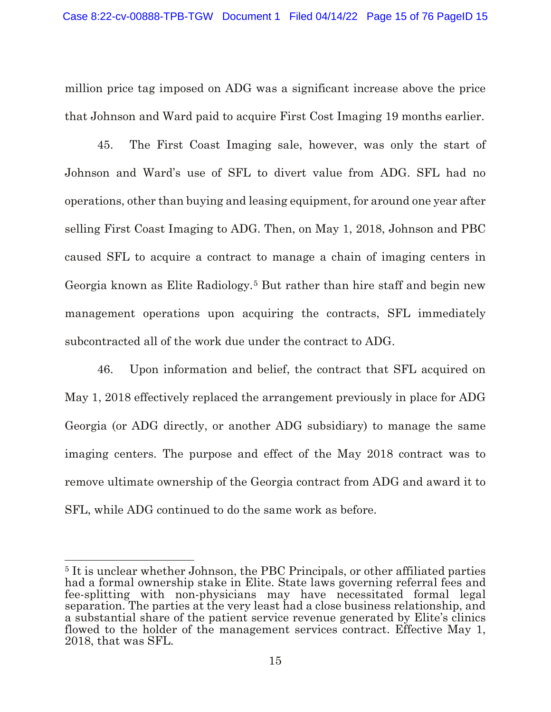million price tag imposed on ADG was a significant increase above the price that Johnson and Ward paid to acquire First Cost Imaging 19 months earlier.

45. The First Coast Imaging sale, however, was only the start of Johnson and Ward's use of SFL to divert value from ADG. SFL had no operations, other than buying and leasing equipment, for around one year after selling First Coast Imaging to ADG. Then, on May 1, 2018, Johnson and PBC caused SFL to acquire a contract to manage a chain of imaging centers in Georgia known as Elite Radiology.<sup>[5](#page-14-0)</sup> But rather than hire staff and begin new management operations upon acquiring the contracts, SFL immediately subcontracted all of the work due under the contract to ADG.

46. Upon information and belief, the contract that SFL acquired on May 1, 2018 effectively replaced the arrangement previously in place for ADG Georgia (or ADG directly, or another ADG subsidiary) to manage the same imaging centers. The purpose and effect of the May 2018 contract was to remove ultimate ownership of the Georgia contract from ADG and award it to SFL, while ADG continued to do the same work as before.

<span id="page-14-0"></span> $\overline{a}$ <sup>5</sup> It is unclear whether Johnson, the PBC Principals, or other affiliated parties had a formal ownership stake in Elite. State laws governing referral fees and fee-splitting with non-physicians may have necessitated formal legal separation. The parties at the very least had a close business relationship, and a substantial share of the patient service revenue generated by Elite's clinics flowed to the holder of the management services contract. Effective May 1, 2018, that was SFL.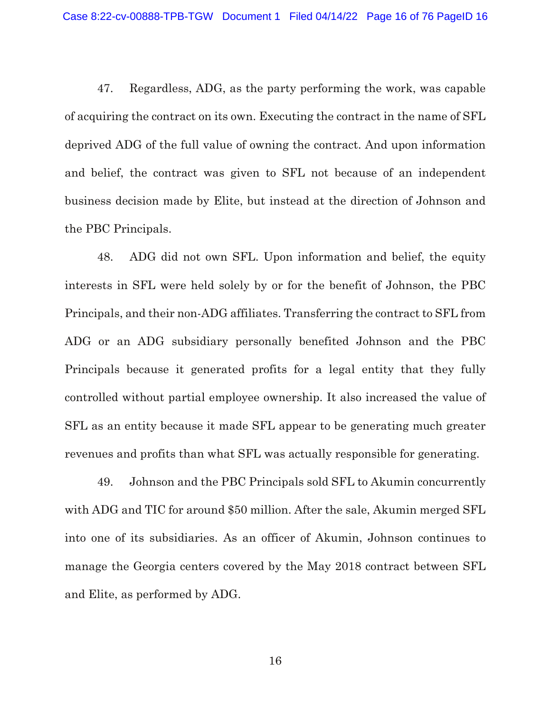47. Regardless, ADG, as the party performing the work, was capable of acquiring the contract on its own. Executing the contract in the name of SFL deprived ADG of the full value of owning the contract. And upon information and belief, the contract was given to SFL not because of an independent business decision made by Elite, but instead at the direction of Johnson and the PBC Principals.

48. ADG did not own SFL. Upon information and belief, the equity interests in SFL were held solely by or for the benefit of Johnson, the PBC Principals, and their non-ADG affiliates. Transferring the contract to SFL from ADG or an ADG subsidiary personally benefited Johnson and the PBC Principals because it generated profits for a legal entity that they fully controlled without partial employee ownership. It also increased the value of SFL as an entity because it made SFL appear to be generating much greater revenues and profits than what SFL was actually responsible for generating.

49. Johnson and the PBC Principals sold SFL to Akumin concurrently with ADG and TIC for around \$50 million. After the sale, Akumin merged SFL into one of its subsidiaries. As an officer of Akumin, Johnson continues to manage the Georgia centers covered by the May 2018 contract between SFL and Elite, as performed by ADG.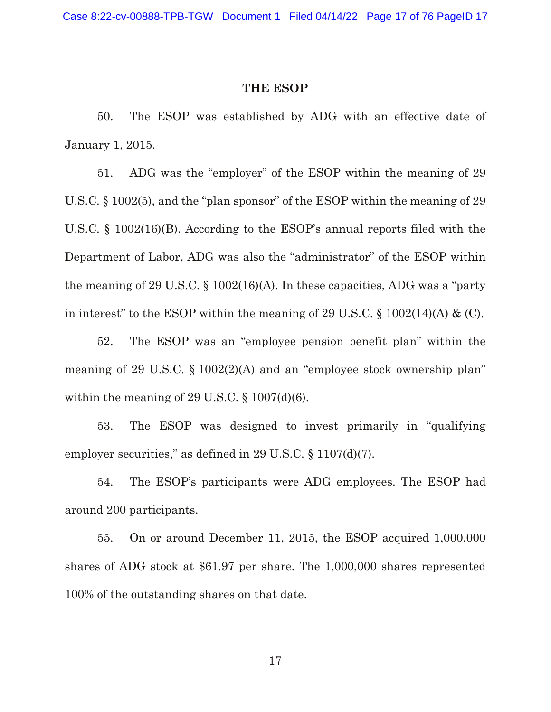#### **THE ESOP**

50. The ESOP was established by ADG with an effective date of January 1, 2015.

51. ADG was the "employer" of the ESOP within the meaning of 29 U.S.C. § 1002(5), and the "plan sponsor" of the ESOP within the meaning of 29 U.S.C. § 1002(16)(B). According to the ESOP's annual reports filed with the Department of Labor, ADG was also the "administrator" of the ESOP within the meaning of 29 U.S.C. § 1002(16)(A). In these capacities, ADG was a "party in interest" to the ESOP within the meaning of 29 U.S.C.  $\S 1002(14)$ (A) & (C).

52. The ESOP was an "employee pension benefit plan" within the meaning of 29 U.S.C. § 1002(2)(A) and an "employee stock ownership plan" within the meaning of 29 U.S.C.  $\S$  1007(d)(6).

53. The ESOP was designed to invest primarily in "qualifying employer securities," as defined in 29 U.S.C. § 1107(d)(7).

54. The ESOP's participants were ADG employees. The ESOP had around 200 participants.

55. On or around December 11, 2015, the ESOP acquired 1,000,000 shares of ADG stock at \$61.97 per share. The 1,000,000 shares represented 100% of the outstanding shares on that date.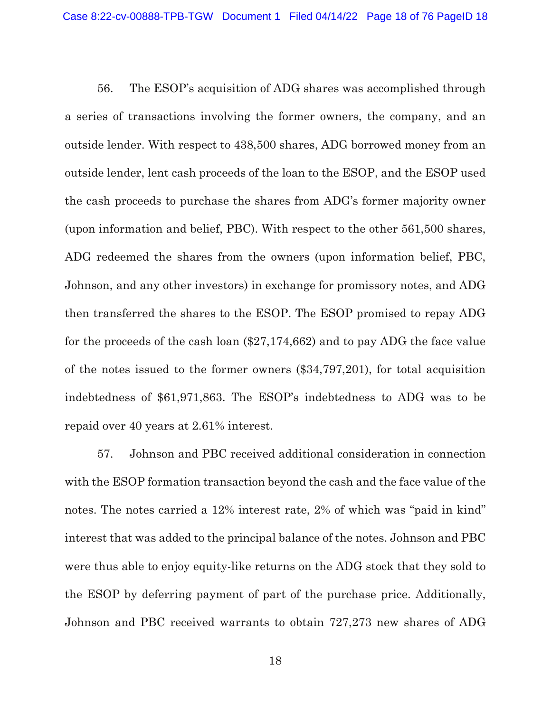56. The ESOP's acquisition of ADG shares was accomplished through a series of transactions involving the former owners, the company, and an outside lender. With respect to 438,500 shares, ADG borrowed money from an outside lender, lent cash proceeds of the loan to the ESOP, and the ESOP used the cash proceeds to purchase the shares from ADG's former majority owner (upon information and belief, PBC). With respect to the other 561,500 shares, ADG redeemed the shares from the owners (upon information belief, PBC, Johnson, and any other investors) in exchange for promissory notes, and ADG then transferred the shares to the ESOP. The ESOP promised to repay ADG for the proceeds of the cash loan (\$27,174,662) and to pay ADG the face value of the notes issued to the former owners (\$34,797,201), for total acquisition indebtedness of \$61,971,863. The ESOP's indebtedness to ADG was to be repaid over 40 years at 2.61% interest.

57. Johnson and PBC received additional consideration in connection with the ESOP formation transaction beyond the cash and the face value of the notes. The notes carried a 12% interest rate, 2% of which was "paid in kind" interest that was added to the principal balance of the notes. Johnson and PBC were thus able to enjoy equity-like returns on the ADG stock that they sold to the ESOP by deferring payment of part of the purchase price. Additionally, Johnson and PBC received warrants to obtain 727,273 new shares of ADG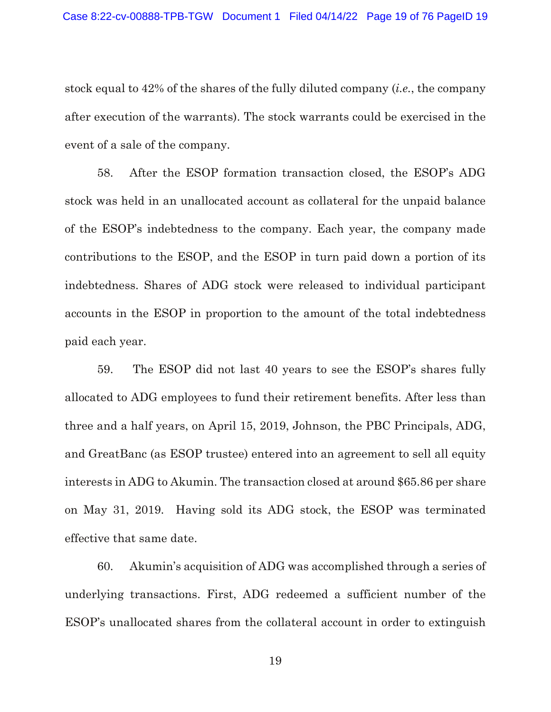stock equal to 42% of the shares of the fully diluted company (*i.e.*, the company after execution of the warrants). The stock warrants could be exercised in the event of a sale of the company.

58. After the ESOP formation transaction closed, the ESOP's ADG stock was held in an unallocated account as collateral for the unpaid balance of the ESOP's indebtedness to the company. Each year, the company made contributions to the ESOP, and the ESOP in turn paid down a portion of its indebtedness. Shares of ADG stock were released to individual participant accounts in the ESOP in proportion to the amount of the total indebtedness paid each year.

59. The ESOP did not last 40 years to see the ESOP's shares fully allocated to ADG employees to fund their retirement benefits. After less than three and a half years, on April 15, 2019, Johnson, the PBC Principals, ADG, and GreatBanc (as ESOP trustee) entered into an agreement to sell all equity interests in ADG to Akumin. The transaction closed at around \$65.86 per share on May 31, 2019. Having sold its ADG stock, the ESOP was terminated effective that same date.

60. Akumin's acquisition of ADG was accomplished through a series of underlying transactions. First, ADG redeemed a sufficient number of the ESOP's unallocated shares from the collateral account in order to extinguish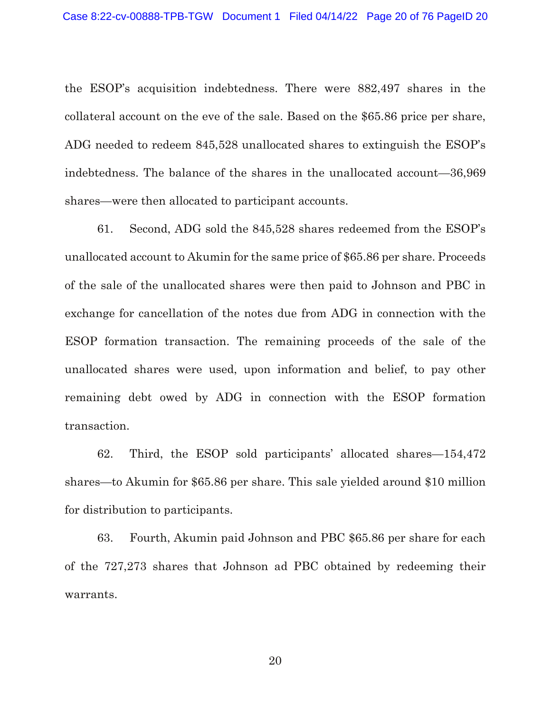the ESOP's acquisition indebtedness. There were 882,497 shares in the collateral account on the eve of the sale. Based on the \$65.86 price per share, ADG needed to redeem 845,528 unallocated shares to extinguish the ESOP's indebtedness. The balance of the shares in the unallocated account—36,969 shares—were then allocated to participant accounts.

61. Second, ADG sold the 845,528 shares redeemed from the ESOP's unallocated account to Akumin for the same price of \$65.86 per share. Proceeds of the sale of the unallocated shares were then paid to Johnson and PBC in exchange for cancellation of the notes due from ADG in connection with the ESOP formation transaction. The remaining proceeds of the sale of the unallocated shares were used, upon information and belief, to pay other remaining debt owed by ADG in connection with the ESOP formation transaction.

62. Third, the ESOP sold participants' allocated shares—154,472 shares—to Akumin for \$65.86 per share. This sale yielded around \$10 million for distribution to participants.

63. Fourth, Akumin paid Johnson and PBC \$65.86 per share for each of the 727,273 shares that Johnson ad PBC obtained by redeeming their warrants.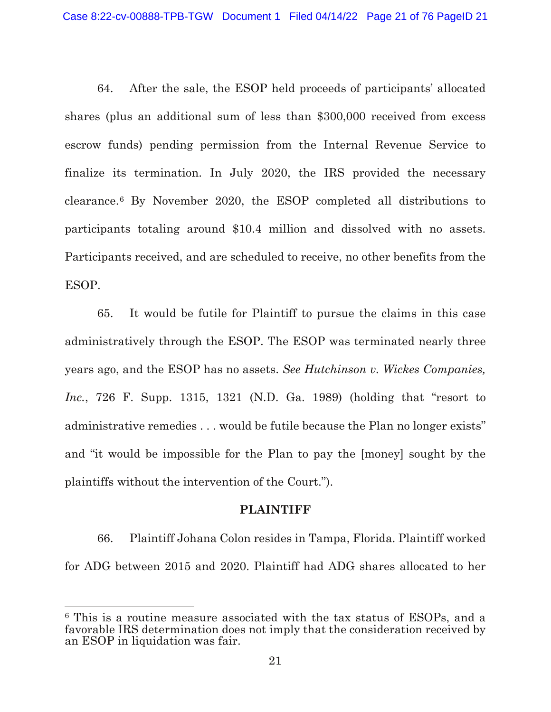64. After the sale, the ESOP held proceeds of participants' allocated shares (plus an additional sum of less than \$300,000 received from excess escrow funds) pending permission from the Internal Revenue Service to finalize its termination. In July 2020, the IRS provided the necessary clearance.[6](#page-20-0) By November 2020, the ESOP completed all distributions to participants totaling around \$10.4 million and dissolved with no assets. Participants received, and are scheduled to receive, no other benefits from the ESOP.

65. It would be futile for Plaintiff to pursue the claims in this case administratively through the ESOP. The ESOP was terminated nearly three years ago, and the ESOP has no assets. *See Hutchinson v. Wickes Companies, Inc.*, 726 F. Supp. 1315, 1321 (N.D. Ga. 1989) (holding that "resort to administrative remedies . . . would be futile because the Plan no longer exists" and "it would be impossible for the Plan to pay the [money] sought by the plaintiffs without the intervention of the Court.").

#### **PLAINTIFF**

66. Plaintiff Johana Colon resides in Tampa, Florida. Plaintiff worked for ADG between 2015 and 2020. Plaintiff had ADG shares allocated to her

 $\overline{a}$ 

<span id="page-20-0"></span><sup>6</sup> This is a routine measure associated with the tax status of ESOPs, and a favorable IRS determination does not imply that the consideration received by an ESOP in liquidation was fair.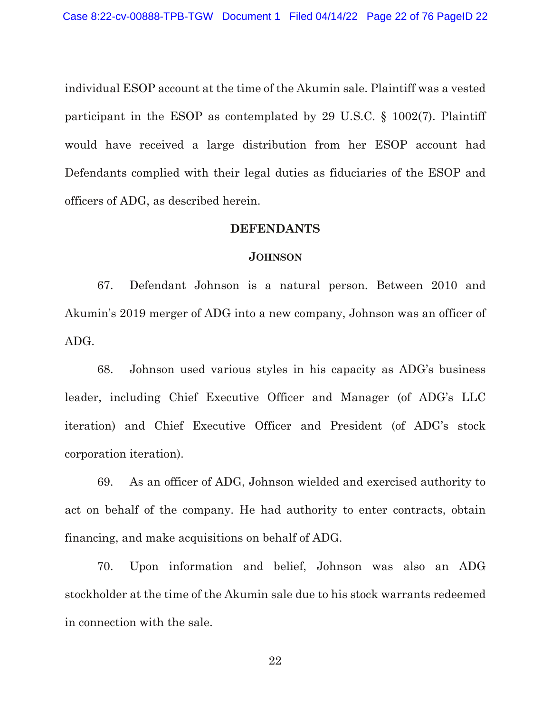individual ESOP account at the time of the Akumin sale. Plaintiff was a vested participant in the ESOP as contemplated by 29 U.S.C. § 1002(7). Plaintiff would have received a large distribution from her ESOP account had Defendants complied with their legal duties as fiduciaries of the ESOP and officers of ADG, as described herein.

## **DEFENDANTS**

#### **JOHNSON**

67. Defendant Johnson is a natural person. Between 2010 and Akumin's 2019 merger of ADG into a new company, Johnson was an officer of ADG.

68. Johnson used various styles in his capacity as ADG's business leader, including Chief Executive Officer and Manager (of ADG's LLC iteration) and Chief Executive Officer and President (of ADG's stock corporation iteration).

69. As an officer of ADG, Johnson wielded and exercised authority to act on behalf of the company. He had authority to enter contracts, obtain financing, and make acquisitions on behalf of ADG.

70. Upon information and belief, Johnson was also an ADG stockholder at the time of the Akumin sale due to his stock warrants redeemed in connection with the sale.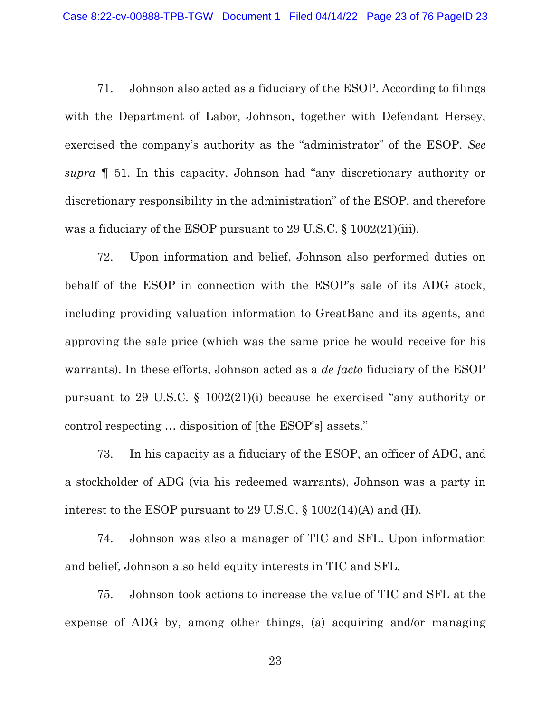71. Johnson also acted as a fiduciary of the ESOP. According to filings with the Department of Labor, Johnson, together with Defendant Hersey, exercised the company's authority as the "administrator" of the ESOP. *See supra* ¶ 51. In this capacity, Johnson had "any discretionary authority or discretionary responsibility in the administration" of the ESOP, and therefore was a fiduciary of the ESOP pursuant to 29 U.S.C. § 1002(21)(iii).

72. Upon information and belief, Johnson also performed duties on behalf of the ESOP in connection with the ESOP's sale of its ADG stock, including providing valuation information to GreatBanc and its agents, and approving the sale price (which was the same price he would receive for his warrants). In these efforts, Johnson acted as a *de facto* fiduciary of the ESOP pursuant to 29 U.S.C. § 1002(21)(i) because he exercised "any authority or control respecting … disposition of [the ESOP's] assets."

73. In his capacity as a fiduciary of the ESOP, an officer of ADG, and a stockholder of ADG (via his redeemed warrants), Johnson was a party in interest to the ESOP pursuant to 29 U.S.C. § 1002(14)(A) and (H).

74. Johnson was also a manager of TIC and SFL. Upon information and belief, Johnson also held equity interests in TIC and SFL.

75. Johnson took actions to increase the value of TIC and SFL at the expense of ADG by, among other things, (a) acquiring and/or managing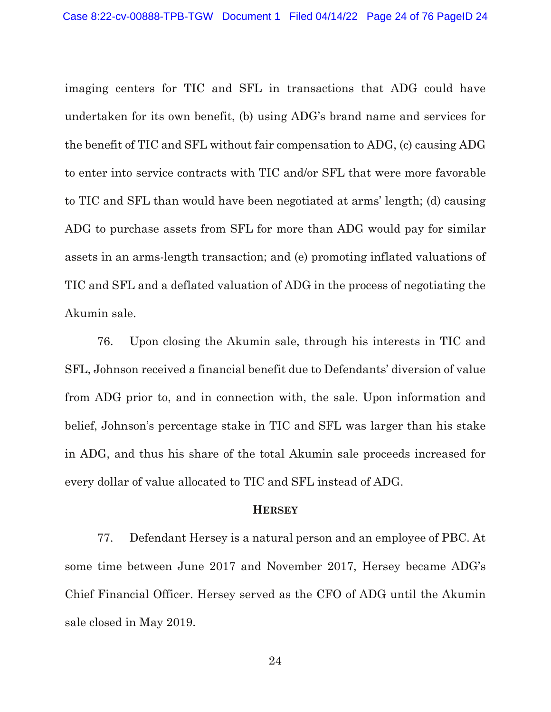imaging centers for TIC and SFL in transactions that ADG could have undertaken for its own benefit, (b) using ADG's brand name and services for the benefit of TIC and SFL without fair compensation to ADG, (c) causing ADG to enter into service contracts with TIC and/or SFL that were more favorable to TIC and SFL than would have been negotiated at arms' length; (d) causing ADG to purchase assets from SFL for more than ADG would pay for similar assets in an arms-length transaction; and (e) promoting inflated valuations of TIC and SFL and a deflated valuation of ADG in the process of negotiating the Akumin sale.

76. Upon closing the Akumin sale, through his interests in TIC and SFL, Johnson received a financial benefit due to Defendants' diversion of value from ADG prior to, and in connection with, the sale. Upon information and belief, Johnson's percentage stake in TIC and SFL was larger than his stake in ADG, and thus his share of the total Akumin sale proceeds increased for every dollar of value allocated to TIC and SFL instead of ADG.

#### **HERSEY**

77. Defendant Hersey is a natural person and an employee of PBC. At some time between June 2017 and November 2017, Hersey became ADG's Chief Financial Officer. Hersey served as the CFO of ADG until the Akumin sale closed in May 2019.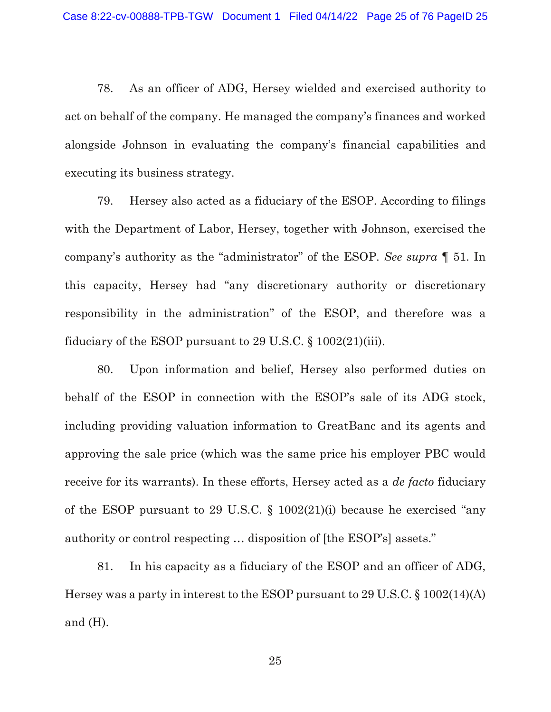78. As an officer of ADG, Hersey wielded and exercised authority to act on behalf of the company. He managed the company's finances and worked alongside Johnson in evaluating the company's financial capabilities and executing its business strategy.

79. Hersey also acted as a fiduciary of the ESOP. According to filings with the Department of Labor, Hersey, together with Johnson, exercised the company's authority as the "administrator" of the ESOP. *See supra* ¶ 51. In this capacity, Hersey had "any discretionary authority or discretionary responsibility in the administration" of the ESOP, and therefore was a fiduciary of the ESOP pursuant to 29 U.S.C. § 1002(21)(iii).

80. Upon information and belief, Hersey also performed duties on behalf of the ESOP in connection with the ESOP's sale of its ADG stock, including providing valuation information to GreatBanc and its agents and approving the sale price (which was the same price his employer PBC would receive for its warrants). In these efforts, Hersey acted as a *de facto* fiduciary of the ESOP pursuant to 29 U.S.C. § 1002(21)(i) because he exercised "any authority or control respecting … disposition of [the ESOP's] assets."

81. In his capacity as a fiduciary of the ESOP and an officer of ADG, Hersey was a party in interest to the ESOP pursuant to 29 U.S.C. § 1002(14)(A) and (H).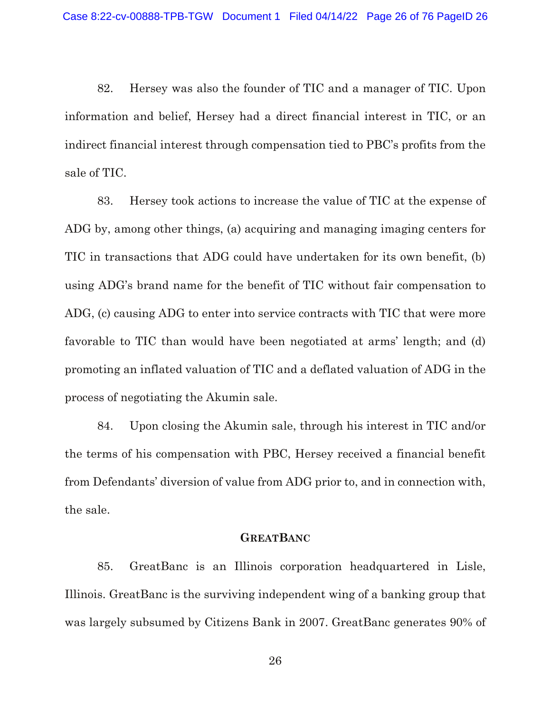82. Hersey was also the founder of TIC and a manager of TIC. Upon information and belief, Hersey had a direct financial interest in TIC, or an indirect financial interest through compensation tied to PBC's profits from the sale of TIC.

83. Hersey took actions to increase the value of TIC at the expense of ADG by, among other things, (a) acquiring and managing imaging centers for TIC in transactions that ADG could have undertaken for its own benefit, (b) using ADG's brand name for the benefit of TIC without fair compensation to ADG, (c) causing ADG to enter into service contracts with TIC that were more favorable to TIC than would have been negotiated at arms' length; and (d) promoting an inflated valuation of TIC and a deflated valuation of ADG in the process of negotiating the Akumin sale.

84. Upon closing the Akumin sale, through his interest in TIC and/or the terms of his compensation with PBC, Hersey received a financial benefit from Defendants' diversion of value from ADG prior to, and in connection with, the sale.

#### **GREATBANC**

85. GreatBanc is an Illinois corporation headquartered in Lisle, Illinois. GreatBanc is the surviving independent wing of a banking group that was largely subsumed by Citizens Bank in 2007. GreatBanc generates 90% of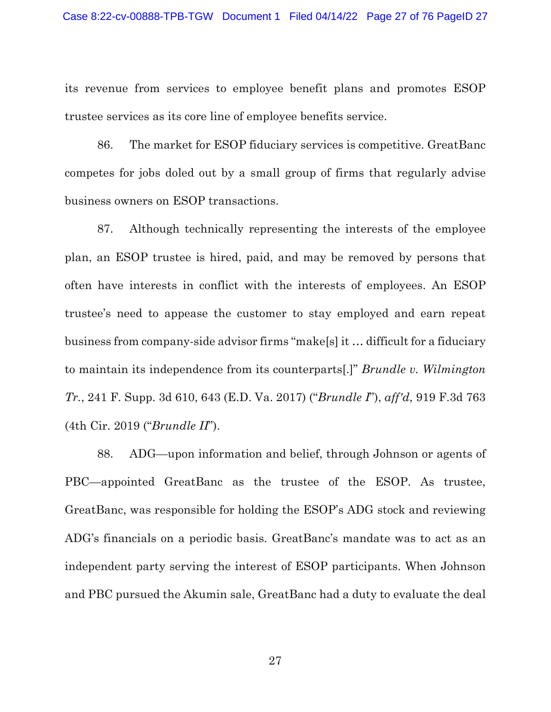its revenue from services to employee benefit plans and promotes ESOP trustee services as its core line of employee benefits service.

86. The market for ESOP fiduciary services is competitive. GreatBanc competes for jobs doled out by a small group of firms that regularly advise business owners on ESOP transactions.

87. Although technically representing the interests of the employee plan, an ESOP trustee is hired, paid, and may be removed by persons that often have interests in conflict with the interests of employees. An ESOP trustee's need to appease the customer to stay employed and earn repeat business from company-side advisor firms "make[s] it … difficult for a fiduciary to maintain its independence from its counterparts[.]" *Brundle v. Wilmington Tr.*, 241 F. Supp. 3d 610, 643 (E.D. Va. 2017) ("*Brundle I*"), *aff'd*, 919 F.3d 763 (4th Cir. 2019 ("*Brundle II*").

88. ADG—upon information and belief, through Johnson or agents of PBC—appointed GreatBanc as the trustee of the ESOP. As trustee, GreatBanc, was responsible for holding the ESOP's ADG stock and reviewing ADG's financials on a periodic basis. GreatBanc's mandate was to act as an independent party serving the interest of ESOP participants. When Johnson and PBC pursued the Akumin sale, GreatBanc had a duty to evaluate the deal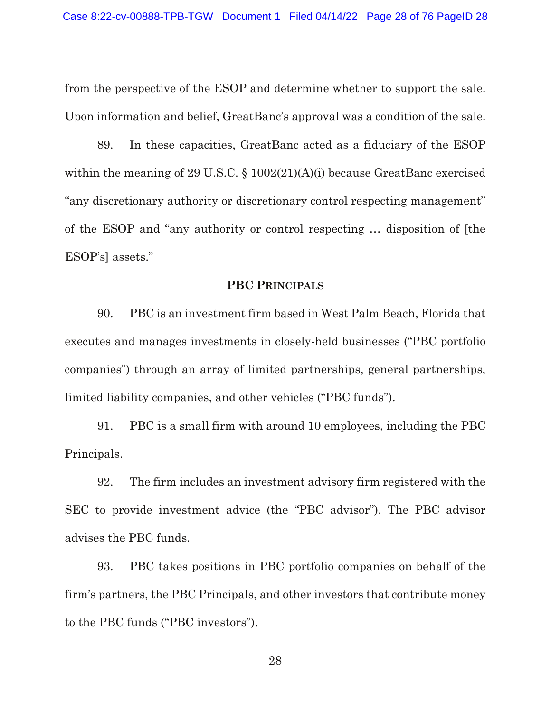from the perspective of the ESOP and determine whether to support the sale. Upon information and belief, GreatBanc's approval was a condition of the sale.

89. In these capacities, GreatBanc acted as a fiduciary of the ESOP within the meaning of 29 U.S.C. § 1002(21)(A)(i) because GreatBanc exercised "any discretionary authority or discretionary control respecting management" of the ESOP and "any authority or control respecting … disposition of [the ESOP's] assets."

#### **PBC PRINCIPALS**

90. PBC is an investment firm based in West Palm Beach, Florida that executes and manages investments in closely-held businesses ("PBC portfolio companies") through an array of limited partnerships, general partnerships, limited liability companies, and other vehicles ("PBC funds").

91. PBC is a small firm with around 10 employees, including the PBC Principals.

92. The firm includes an investment advisory firm registered with the SEC to provide investment advice (the "PBC advisor"). The PBC advisor advises the PBC funds.

93. PBC takes positions in PBC portfolio companies on behalf of the firm's partners, the PBC Principals, and other investors that contribute money to the PBC funds ("PBC investors").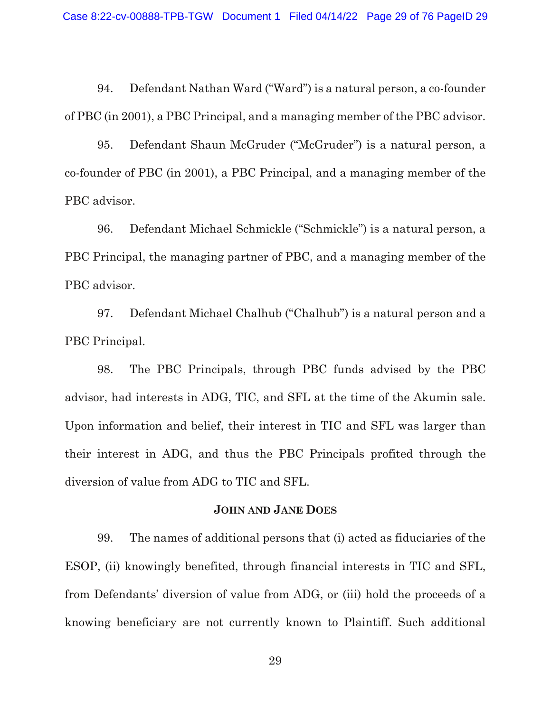94. Defendant Nathan Ward ("Ward") is a natural person, a co-founder of PBC (in 2001), a PBC Principal, and a managing member of the PBC advisor.

95. Defendant Shaun McGruder ("McGruder") is a natural person, a co-founder of PBC (in 2001), a PBC Principal, and a managing member of the PBC advisor.

96. Defendant Michael Schmickle ("Schmickle") is a natural person, a PBC Principal, the managing partner of PBC, and a managing member of the PBC advisor.

97. Defendant Michael Chalhub ("Chalhub") is a natural person and a PBC Principal.

98. The PBC Principals, through PBC funds advised by the PBC advisor, had interests in ADG, TIC, and SFL at the time of the Akumin sale. Upon information and belief, their interest in TIC and SFL was larger than their interest in ADG, and thus the PBC Principals profited through the diversion of value from ADG to TIC and SFL.

# **JOHN AND JANE DOES**

99. The names of additional persons that (i) acted as fiduciaries of the ESOP, (ii) knowingly benefited, through financial interests in TIC and SFL, from Defendants' diversion of value from ADG, or (iii) hold the proceeds of a knowing beneficiary are not currently known to Plaintiff. Such additional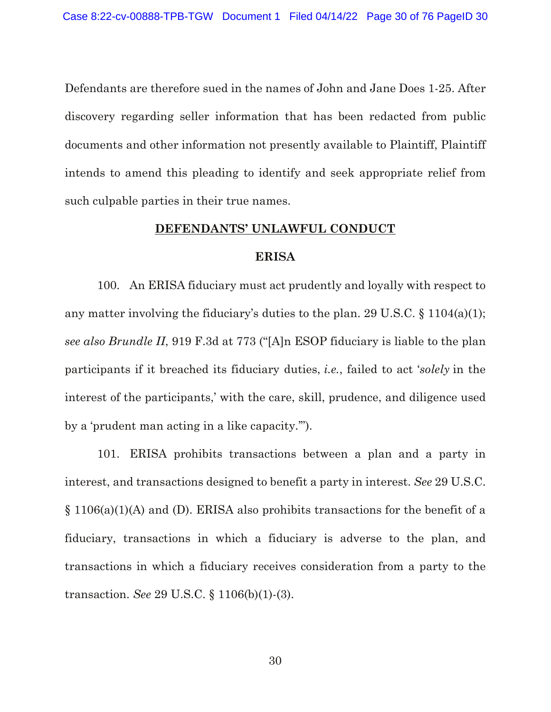Defendants are therefore sued in the names of John and Jane Does 1-25. After discovery regarding seller information that has been redacted from public documents and other information not presently available to Plaintiff, Plaintiff intends to amend this pleading to identify and seek appropriate relief from such culpable parties in their true names.

#### **DEFENDANTS' UNLAWFUL CONDUCT**

#### **ERISA**

100. An ERISA fiduciary must act prudently and loyally with respect to any matter involving the fiduciary's duties to the plan. 29 U.S.C. § 1104(a)(1); *see also Brundle II*, 919 F.3d at 773 ("[A]n ESOP fiduciary is liable to the plan participants if it breached its fiduciary duties, *i.e.*, failed to act '*solely* in the interest of the participants,' with the care, skill, prudence, and diligence used by a 'prudent man acting in a like capacity.'").

101. ERISA prohibits transactions between a plan and a party in interest, and transactions designed to benefit a party in interest. *See* 29 U.S.C. § 1106(a)(1)(A) and (D). ERISA also prohibits transactions for the benefit of a fiduciary, transactions in which a fiduciary is adverse to the plan, and transactions in which a fiduciary receives consideration from a party to the transaction. *See* 29 U.S.C. § 1106(b)(1)-(3).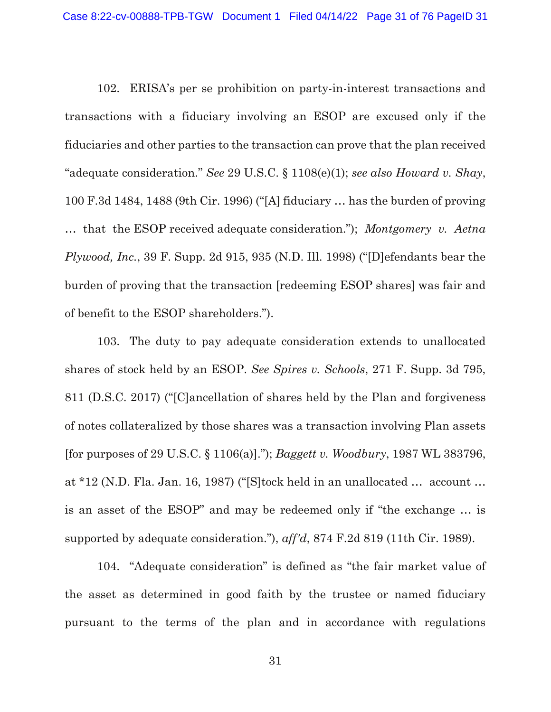102. ERISA's per se prohibition on party-in-interest transactions and transactions with a fiduciary involving an ESOP are excused only if the fiduciaries and other parties to the transaction can prove that the plan received "adequate consideration." *See* 29 U.S.C. § 1108(e)(1); *see also Howard v. Shay*, 100 F.3d 1484, 1488 (9th Cir. 1996) ("[A] fiduciary … has the burden of proving … that the ESOP received adequate consideration."); *Montgomery v. Aetna Plywood, Inc.*, 39 F. Supp. 2d 915, 935 (N.D. Ill. 1998) ("[D]efendants bear the burden of proving that the transaction [redeeming ESOP shares] was fair and of benefit to the ESOP shareholders.").

103. The duty to pay adequate consideration extends to unallocated shares of stock held by an ESOP. *See Spires v. Schools*, 271 F. Supp. 3d 795, 811 (D.S.C. 2017) ("[C]ancellation of shares held by the Plan and forgiveness of notes collateralized by those shares was a transaction involving Plan assets [for purposes of 29 U.S.C. § 1106(a)]."); *Baggett v. Woodbury*, 1987 WL 383796, at \*12 (N.D. Fla. Jan. 16, 1987) ("[S]tock held in an unallocated … account … is an asset of the ESOP" and may be redeemed only if "the exchange … is supported by adequate consideration."), *aff'd*, 874 F.2d 819 (11th Cir. 1989).

104. "Adequate consideration" is defined as "the fair market value of the asset as determined in good faith by the trustee or named fiduciary pursuant to the terms of the plan and in accordance with regulations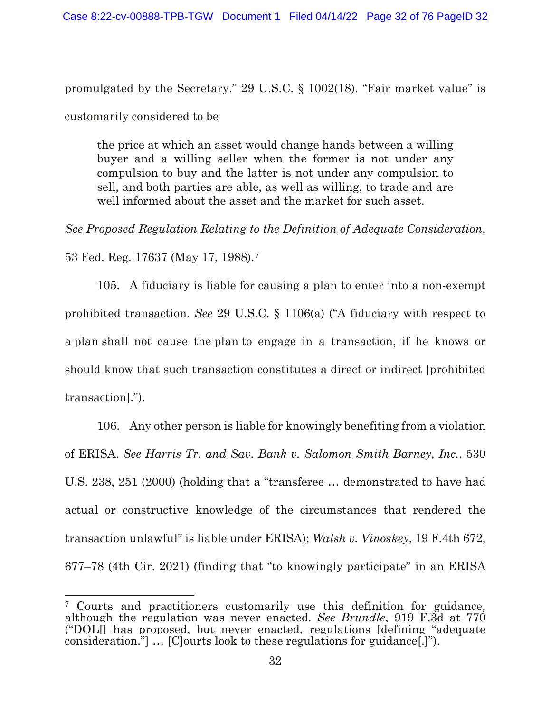promulgated by the Secretary." 29 U.S.C. § 1002(18). "Fair market value" is customarily considered to be

the price at which an asset would change hands between a willing buyer and a willing seller when the former is not under any compulsion to buy and the latter is not under any compulsion to sell, and both parties are able, as well as willing, to trade and are well informed about the asset and the market for such asset.

*See Proposed Regulation Relating to the Definition of Adequate Consideration*,

53 Fed. Reg. 17637 (May 17, 1988).[7](#page-31-0)

105. A fiduciary is liable for causing a plan to enter into a non-exempt prohibited transaction. *See* 29 U.S.C. § 1106(a) ("A fiduciary with respect to a plan shall not cause the plan to engage in a transaction, if he knows or should know that such transaction constitutes a direct or indirect [prohibited transaction].").

106. Any other person is liable for knowingly benefiting from a violation of ERISA. *See Harris Tr. and Sav. Bank v. Salomon Smith Barney, Inc.*, 530 U.S. 238, 251 (2000) (holding that a "transferee … demonstrated to have had actual or constructive knowledge of the circumstances that rendered the transaction unlawful" is liable under ERISA); *Walsh v. Vinoskey*, 19 F.4th 672, 677–78 (4th Cir. 2021) (finding that "to knowingly participate" in an ERISA

<span id="page-31-0"></span> $\overline{a}$ <sup>7</sup> Courts and practitioners customarily use this definition for guidance, although the regulation was never enacted. *See Brundle*, 919 F.3d at 770 ("DOL[] has proposed, but never enacted, regulations [defining "adequate consideration."] … [C]ourts look to these regulations for guidance[.]").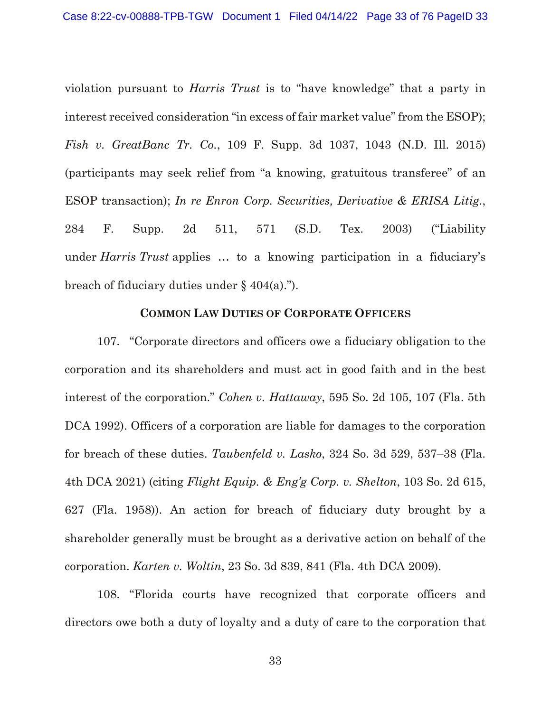violation pursuant to *Harris Trust* is to "have knowledge" that a party in interest received consideration "in excess of fair market value" from the ESOP); *Fish v. GreatBanc Tr. Co.*, 109 F. Supp. 3d 1037, 1043 (N.D. Ill. 2015) (participants may seek relief from "a knowing, gratuitous transferee" of an ESOP transaction); *In re Enron Corp. Securities, Derivative & ERISA Litig.*, 284 F. Supp. 2d 511, 571 (S.D. Tex. 2003) ("Liability under *Harris Trust* applies … to a knowing participation in a fiduciary's breach of fiduciary duties under  $\S$  404(a).").

## **COMMON LAW DUTIES OF CORPORATE OFFICERS**

107. "Corporate directors and officers owe a fiduciary obligation to the corporation and its shareholders and must act in good faith and in the best interest of the corporation." *Cohen v. Hattaway*, 595 So. 2d 105, 107 (Fla. 5th DCA 1992). Officers of a corporation are liable for damages to the corporation for breach of these duties. *Taubenfeld v. Lasko*, 324 So. 3d 529, 537–38 (Fla. 4th DCA 2021) (citing *Flight Equip. & Eng'g Corp. v. Shelton*, 103 So. 2d 615, 627 (Fla. 1958)). An action for breach of fiduciary duty brought by a shareholder generally must be brought as a derivative action on behalf of the corporation. *Karten v. Woltin*, 23 So. 3d 839, 841 (Fla. 4th DCA 2009).

108. "Florida courts have recognized that corporate officers and directors owe both a duty of loyalty and a duty of care to the corporation that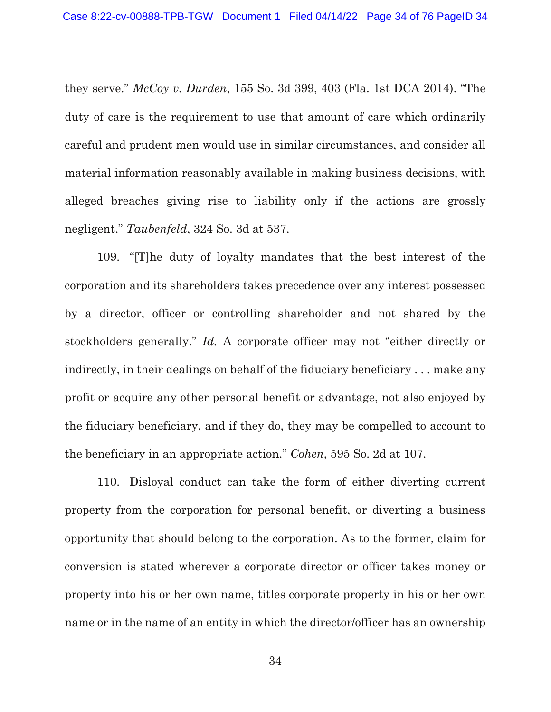they serve." *McCoy v. Durden*, 155 So. 3d 399, 403 (Fla. 1st DCA 2014). "The duty of care is the requirement to use that amount of care which ordinarily careful and prudent men would use in similar circumstances, and consider all material information reasonably available in making business decisions, with alleged breaches giving rise to liability only if the actions are grossly negligent." *Taubenfeld*, 324 So. 3d at 537.

109. "[T]he duty of loyalty mandates that the best interest of the corporation and its shareholders takes precedence over any interest possessed by a director, officer or controlling shareholder and not shared by the stockholders generally." *Id.* A corporate officer may not "either directly or indirectly, in their dealings on behalf of the fiduciary beneficiary . . . make any profit or acquire any other personal benefit or advantage, not also enjoyed by the fiduciary beneficiary, and if they do, they may be compelled to account to the beneficiary in an appropriate action." *Cohen*, 595 So. 2d at 107.

110. Disloyal conduct can take the form of either diverting current property from the corporation for personal benefit, or diverting a business opportunity that should belong to the corporation. As to the former, claim for conversion is stated wherever a corporate director or officer takes money or property into his or her own name, titles corporate property in his or her own name or in the name of an entity in which the director/officer has an ownership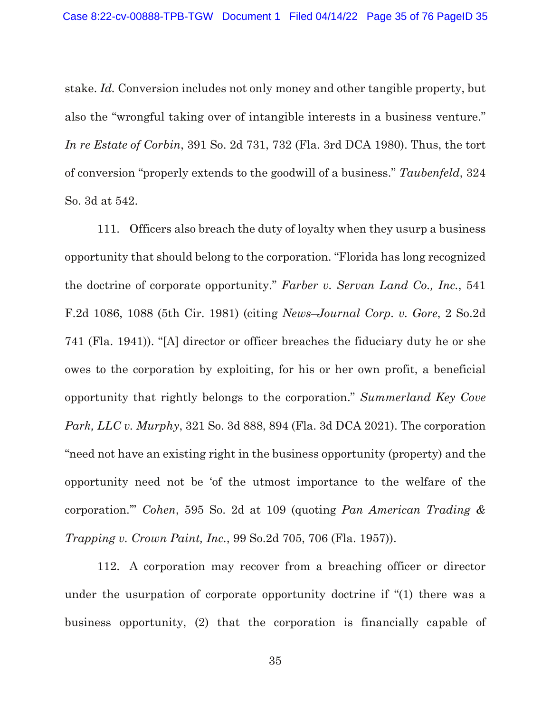stake. *Id.* Conversion includes not only money and other tangible property, but also the "wrongful taking over of intangible interests in a business venture." *In re Estate of Corbin*, 391 So. 2d 731, 732 (Fla. 3rd DCA 1980). Thus, the tort of conversion "properly extends to the goodwill of a business." *Taubenfeld*, 324 So. 3d at 542.

111. Officers also breach the duty of loyalty when they usurp a business opportunity that should belong to the corporation. "Florida has long recognized the doctrine of corporate opportunity." *Farber v. Servan Land Co., Inc.*, 541 F.2d 1086, 1088 (5th Cir. 1981) (citing *News–Journal Corp. v. Gore*, 2 So.2d 741 (Fla. 1941)). "[A] director or officer breaches the fiduciary duty he or she owes to the corporation by exploiting, for his or her own profit, a beneficial opportunity that rightly belongs to the corporation." *Summerland Key Cove Park, LLC v. Murphy*, 321 So. 3d 888, 894 (Fla. 3d DCA 2021). The corporation "need not have an existing right in the business opportunity (property) and the opportunity need not be 'of the utmost importance to the welfare of the corporation.'" *Cohen*, 595 So. 2d at 109 (quoting *Pan American Trading & Trapping v. Crown Paint, Inc.*, 99 So.2d 705, 706 (Fla. 1957)).

112. A corporation may recover from a breaching officer or director under the usurpation of corporate opportunity doctrine if "(1) there was a business opportunity, (2) that the corporation is financially capable of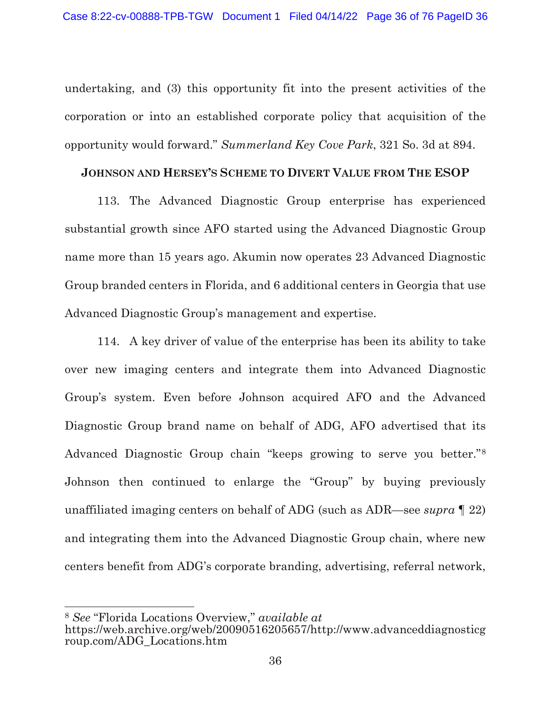undertaking, and (3) this opportunity fit into the present activities of the corporation or into an established corporate policy that acquisition of the opportunity would forward." *Summerland Key Cove Park*, 321 So. 3d at 894.

## **JOHNSON AND HERSEY'S SCHEME TO DIVERT VALUE FROM THE ESOP**

113. The Advanced Diagnostic Group enterprise has experienced substantial growth since AFO started using the Advanced Diagnostic Group name more than 15 years ago. Akumin now operates 23 Advanced Diagnostic Group branded centers in Florida, and 6 additional centers in Georgia that use Advanced Diagnostic Group's management and expertise.

114. A key driver of value of the enterprise has been its ability to take over new imaging centers and integrate them into Advanced Diagnostic Group's system. Even before Johnson acquired AFO and the Advanced Diagnostic Group brand name on behalf of ADG, AFO advertised that its Advanced Diagnostic Group chain "keeps growing to serve you better."[8](#page-35-0) Johnson then continued to enlarge the "Group" by buying previously unaffiliated imaging centers on behalf of ADG (such as ADR—see *supra* ¶ 22) and integrating them into the Advanced Diagnostic Group chain, where new centers benefit from ADG's corporate branding, advertising, referral network,

 $\overline{a}$ 

<span id="page-35-0"></span><sup>8</sup> *See* "Florida Locations Overview," *available at*

https://web.archive.org/web/20090516205657/http://www.advanceddiagnosticg roup.com/ADG\_Locations.htm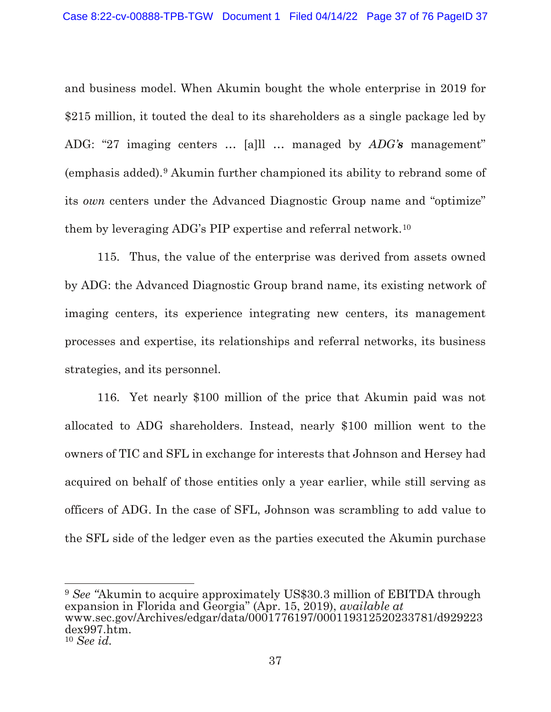and business model. When Akumin bought the whole enterprise in 2019 for \$215 million, it touted the deal to its shareholders as a single package led by ADG: "27 imaging centers … [a]ll … managed by *ADG's* management" (emphasis added).[9](#page-36-0) Akumin further championed its ability to rebrand some of its *own* centers under the Advanced Diagnostic Group name and "optimize" them by leveraging ADG's PIP expertise and referral network.[10](#page-36-1)

115. Thus, the value of the enterprise was derived from assets owned by ADG: the Advanced Diagnostic Group brand name, its existing network of imaging centers, its experience integrating new centers, its management processes and expertise, its relationships and referral networks, its business strategies, and its personnel.

116. Yet nearly \$100 million of the price that Akumin paid was not allocated to ADG shareholders. Instead, nearly \$100 million went to the owners of TIC and SFL in exchange for interests that Johnson and Hersey had acquired on behalf of those entities only a year earlier, while still serving as officers of ADG. In the case of SFL, Johnson was scrambling to add value to the SFL side of the ledger even as the parties executed the Akumin purchase

<span id="page-36-0"></span> $\overline{a}$ <sup>9</sup> *See "*Akumin to acquire approximately US\$30.3 million of EBITDA through expansion in Florida and Georgia" (Apr. 15, 2019), *available at*  www.sec.gov/Archives/edgar/data/0001776197/000119312520233781/d929223 dex997.htm.

<span id="page-36-1"></span><sup>10</sup> *See id.*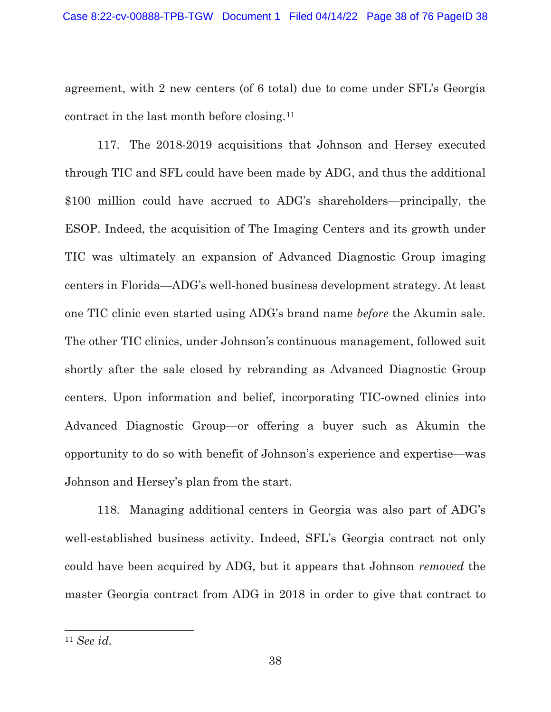agreement, with 2 new centers (of 6 total) due to come under SFL's Georgia contract in the last month before closing.[11](#page-37-0)

117. The 2018-2019 acquisitions that Johnson and Hersey executed through TIC and SFL could have been made by ADG, and thus the additional \$100 million could have accrued to ADG's shareholders—principally, the ESOP. Indeed, the acquisition of The Imaging Centers and its growth under TIC was ultimately an expansion of Advanced Diagnostic Group imaging centers in Florida—ADG's well-honed business development strategy. At least one TIC clinic even started using ADG's brand name *before* the Akumin sale. The other TIC clinics, under Johnson's continuous management, followed suit shortly after the sale closed by rebranding as Advanced Diagnostic Group centers. Upon information and belief, incorporating TIC-owned clinics into Advanced Diagnostic Group—or offering a buyer such as Akumin the opportunity to do so with benefit of Johnson's experience and expertise—was Johnson and Hersey's plan from the start.

118. Managing additional centers in Georgia was also part of ADG's well-established business activity. Indeed, SFL's Georgia contract not only could have been acquired by ADG, but it appears that Johnson *removed* the master Georgia contract from ADG in 2018 in order to give that contract to

 $\overline{a}$ 

<span id="page-37-0"></span><sup>11</sup> *See id.*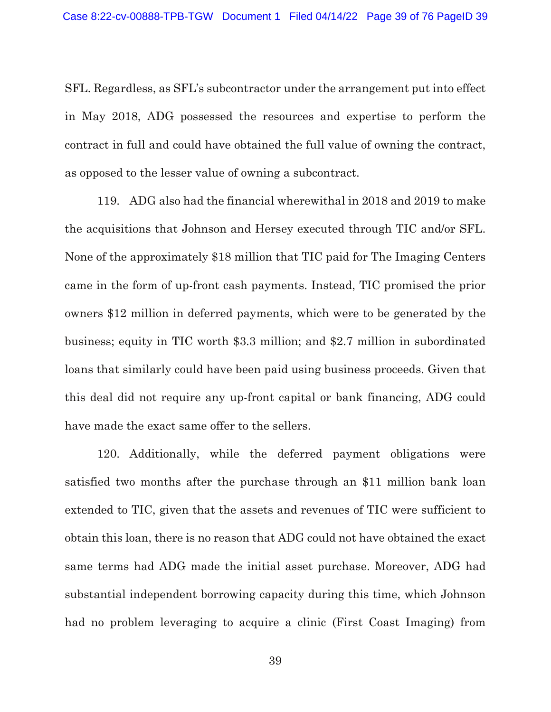SFL. Regardless, as SFL's subcontractor under the arrangement put into effect in May 2018, ADG possessed the resources and expertise to perform the contract in full and could have obtained the full value of owning the contract, as opposed to the lesser value of owning a subcontract.

119. ADG also had the financial wherewithal in 2018 and 2019 to make the acquisitions that Johnson and Hersey executed through TIC and/or SFL. None of the approximately \$18 million that TIC paid for The Imaging Centers came in the form of up-front cash payments. Instead, TIC promised the prior owners \$12 million in deferred payments, which were to be generated by the business; equity in TIC worth \$3.3 million; and \$2.7 million in subordinated loans that similarly could have been paid using business proceeds. Given that this deal did not require any up-front capital or bank financing, ADG could have made the exact same offer to the sellers.

120. Additionally, while the deferred payment obligations were satisfied two months after the purchase through an \$11 million bank loan extended to TIC, given that the assets and revenues of TIC were sufficient to obtain this loan, there is no reason that ADG could not have obtained the exact same terms had ADG made the initial asset purchase. Moreover, ADG had substantial independent borrowing capacity during this time, which Johnson had no problem leveraging to acquire a clinic (First Coast Imaging) from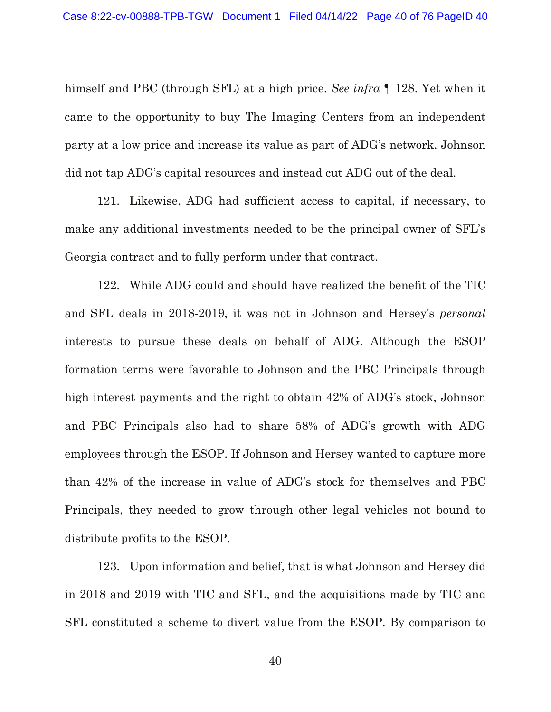himself and PBC (through SFL) at a high price. *See infra* ¶ 128. Yet when it came to the opportunity to buy The Imaging Centers from an independent party at a low price and increase its value as part of ADG's network, Johnson did not tap ADG's capital resources and instead cut ADG out of the deal.

121. Likewise, ADG had sufficient access to capital, if necessary, to make any additional investments needed to be the principal owner of SFL's Georgia contract and to fully perform under that contract.

122. While ADG could and should have realized the benefit of the TIC and SFL deals in 2018-2019, it was not in Johnson and Hersey's *personal* interests to pursue these deals on behalf of ADG. Although the ESOP formation terms were favorable to Johnson and the PBC Principals through high interest payments and the right to obtain 42% of ADG's stock, Johnson and PBC Principals also had to share 58% of ADG's growth with ADG employees through the ESOP. If Johnson and Hersey wanted to capture more than 42% of the increase in value of ADG's stock for themselves and PBC Principals, they needed to grow through other legal vehicles not bound to distribute profits to the ESOP.

123. Upon information and belief, that is what Johnson and Hersey did in 2018 and 2019 with TIC and SFL, and the acquisitions made by TIC and SFL constituted a scheme to divert value from the ESOP. By comparison to

40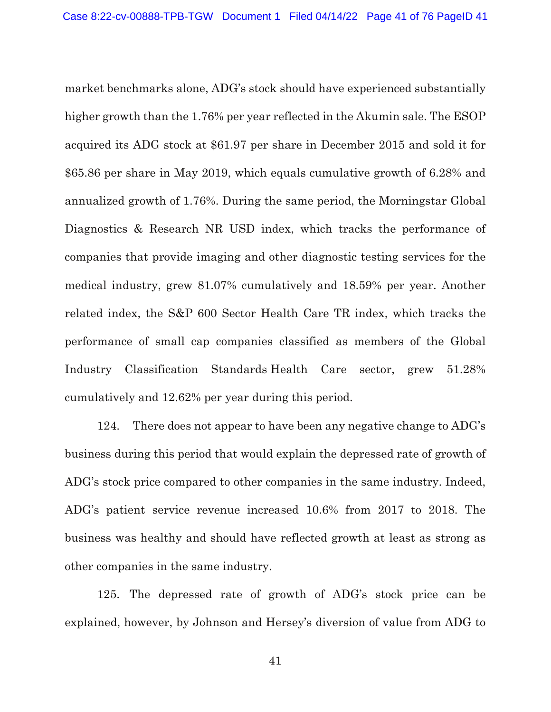market benchmarks alone, ADG's stock should have experienced substantially higher growth than the 1.76% per year reflected in the Akumin sale. The ESOP acquired its ADG stock at \$61.97 per share in December 2015 and sold it for \$65.86 per share in May 2019, which equals cumulative growth of 6.28% and annualized growth of 1.76%. During the same period, the Morningstar Global Diagnostics & Research NR USD index, which tracks the performance of companies that provide imaging and other diagnostic testing services for the medical industry, grew 81.07% cumulatively and 18.59% per year. Another related index, the S&P 600 Sector Health Care TR index, which tracks the performance of small cap companies classified as members of the Global Industry Classification Standards Health Care sector, grew 51.28% cumulatively and 12.62% per year during this period.

124. There does not appear to have been any negative change to ADG's business during this period that would explain the depressed rate of growth of ADG's stock price compared to other companies in the same industry. Indeed, ADG's patient service revenue increased 10.6% from 2017 to 2018. The business was healthy and should have reflected growth at least as strong as other companies in the same industry.

125. The depressed rate of growth of ADG's stock price can be explained, however, by Johnson and Hersey's diversion of value from ADG to

41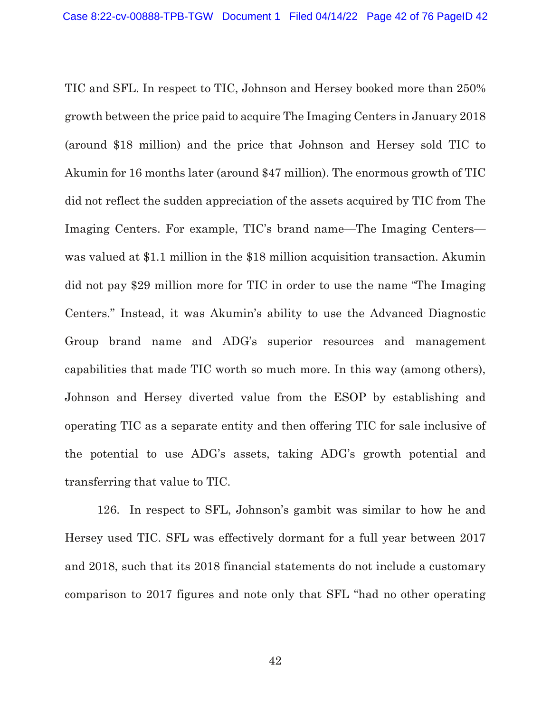TIC and SFL. In respect to TIC, Johnson and Hersey booked more than 250% growth between the price paid to acquire The Imaging Centers in January 2018 (around \$18 million) and the price that Johnson and Hersey sold TIC to Akumin for 16 months later (around \$47 million). The enormous growth of TIC did not reflect the sudden appreciation of the assets acquired by TIC from The Imaging Centers. For example, TIC's brand name—The Imaging Centers was valued at \$1.1 million in the \$18 million acquisition transaction. Akumin did not pay \$29 million more for TIC in order to use the name "The Imaging Centers." Instead, it was Akumin's ability to use the Advanced Diagnostic Group brand name and ADG's superior resources and management capabilities that made TIC worth so much more. In this way (among others), Johnson and Hersey diverted value from the ESOP by establishing and operating TIC as a separate entity and then offering TIC for sale inclusive of the potential to use ADG's assets, taking ADG's growth potential and transferring that value to TIC.

126. In respect to SFL, Johnson's gambit was similar to how he and Hersey used TIC. SFL was effectively dormant for a full year between 2017 and 2018, such that its 2018 financial statements do not include a customary comparison to 2017 figures and note only that SFL "had no other operating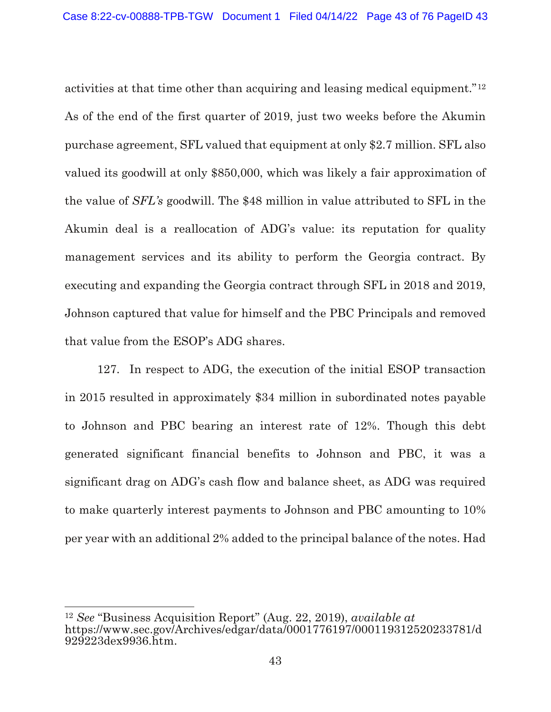activities at that time other than acquiring and leasing medical equipment."[12](#page-42-0) As of the end of the first quarter of 2019, just two weeks before the Akumin purchase agreement, SFL valued that equipment at only \$2.7 million. SFL also valued its goodwill at only \$850,000, which was likely a fair approximation of the value of *SFL's* goodwill. The \$48 million in value attributed to SFL in the Akumin deal is a reallocation of ADG's value: its reputation for quality management services and its ability to perform the Georgia contract. By executing and expanding the Georgia contract through SFL in 2018 and 2019, Johnson captured that value for himself and the PBC Principals and removed that value from the ESOP's ADG shares.

127. In respect to ADG, the execution of the initial ESOP transaction in 2015 resulted in approximately \$34 million in subordinated notes payable to Johnson and PBC bearing an interest rate of 12%. Though this debt generated significant financial benefits to Johnson and PBC, it was a significant drag on ADG's cash flow and balance sheet, as ADG was required to make quarterly interest payments to Johnson and PBC amounting to 10% per year with an additional 2% added to the principal balance of the notes. Had

<span id="page-42-0"></span> $\overline{a}$ <sup>12</sup> *See* "Business Acquisition Report" (Aug. 22, 2019), *available at* https://www.sec.gov/Archives/edgar/data/0001776197/000119312520233781/d 929223dex9936.htm.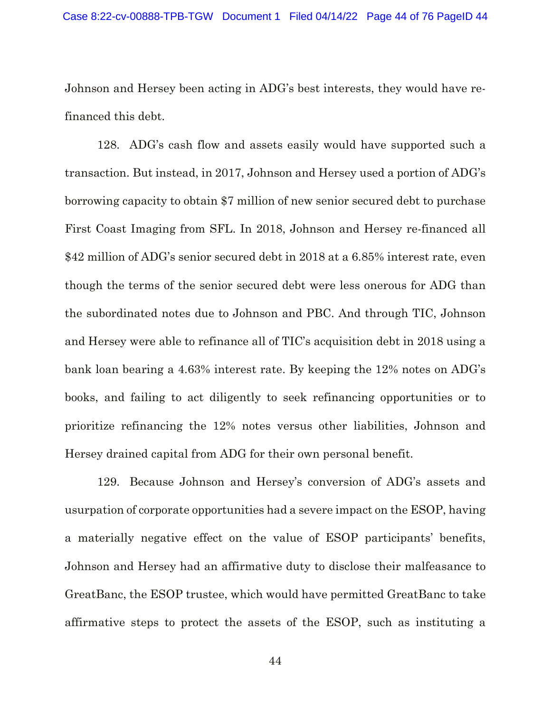Johnson and Hersey been acting in ADG's best interests, they would have refinanced this debt.

128. ADG's cash flow and assets easily would have supported such a transaction. But instead, in 2017, Johnson and Hersey used a portion of ADG's borrowing capacity to obtain \$7 million of new senior secured debt to purchase First Coast Imaging from SFL. In 2018, Johnson and Hersey re-financed all \$42 million of ADG's senior secured debt in 2018 at a 6.85% interest rate, even though the terms of the senior secured debt were less onerous for ADG than the subordinated notes due to Johnson and PBC. And through TIC, Johnson and Hersey were able to refinance all of TIC's acquisition debt in 2018 using a bank loan bearing a 4.63% interest rate. By keeping the 12% notes on ADG's books, and failing to act diligently to seek refinancing opportunities or to prioritize refinancing the 12% notes versus other liabilities, Johnson and Hersey drained capital from ADG for their own personal benefit.

129. Because Johnson and Hersey's conversion of ADG's assets and usurpation of corporate opportunities had a severe impact on the ESOP, having a materially negative effect on the value of ESOP participants' benefits, Johnson and Hersey had an affirmative duty to disclose their malfeasance to GreatBanc, the ESOP trustee, which would have permitted GreatBanc to take affirmative steps to protect the assets of the ESOP, such as instituting a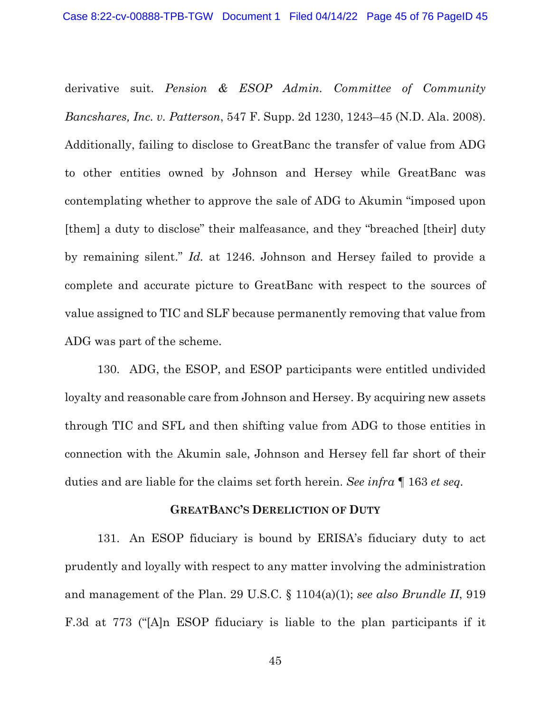derivative suit. *Pension & ESOP Admin. Committee of Community Bancshares, Inc. v. Patterson*, 547 F. Supp. 2d 1230, 1243–45 (N.D. Ala. 2008). Additionally, failing to disclose to GreatBanc the transfer of value from ADG to other entities owned by Johnson and Hersey while GreatBanc was contemplating whether to approve the sale of ADG to Akumin "imposed upon [them] a duty to disclose" their malfeasance, and they "breached [their] duty by remaining silent." *Id.* at 1246. Johnson and Hersey failed to provide a complete and accurate picture to GreatBanc with respect to the sources of value assigned to TIC and SLF because permanently removing that value from ADG was part of the scheme.

130. ADG, the ESOP, and ESOP participants were entitled undivided loyalty and reasonable care from Johnson and Hersey. By acquiring new assets through TIC and SFL and then shifting value from ADG to those entities in connection with the Akumin sale, Johnson and Hersey fell far short of their duties and are liable for the claims set forth herein. *See infra* ¶ 163 *et seq.*

### **GREATBANC'S DERELICTION OF DUTY**

131. An ESOP fiduciary is bound by ERISA's fiduciary duty to act prudently and loyally with respect to any matter involving the administration and management of the Plan. 29 U.S.C. § 1104(a)(1); *see also Brundle II*, 919 F.3d at 773 ("[A]n ESOP fiduciary is liable to the plan participants if it

45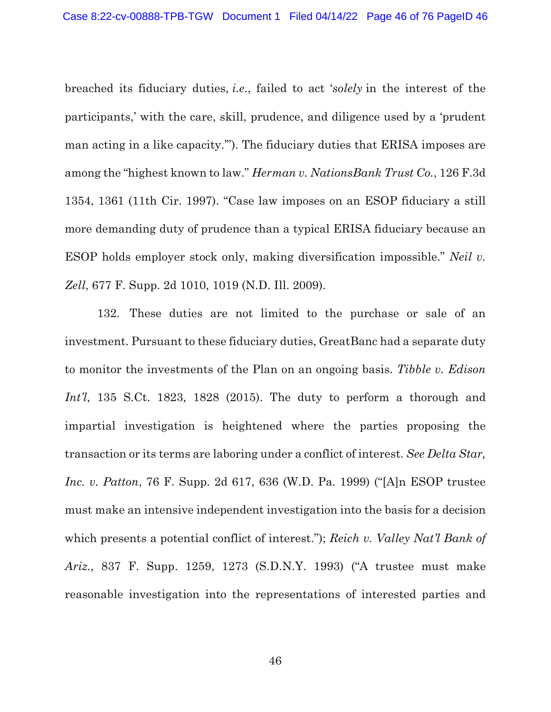breached its fiduciary duties, *i.e.*, failed to act '*solely* in the interest of the participants,' with the care, skill, prudence, and diligence used by a 'prudent man acting in a like capacity.'"). The fiduciary duties that ERISA imposes are among the "highest known to law." *Herman v. NationsBank Trust Co.*, 126 F.3d 1354, 1361 (11th Cir. 1997). "Case law imposes on an ESOP fiduciary a still more demanding duty of prudence than a typical ERISA fiduciary because an ESOP holds employer stock only, making diversification impossible." *Neil v. Zell*, 677 F. Supp. 2d 1010, 1019 (N.D. Ill. 2009).

132. These duties are not limited to the purchase or sale of an investment. Pursuant to these fiduciary duties, GreatBanc had a separate duty to monitor the investments of the Plan on an ongoing basis. *Tibble v. Edison Int'l*, 135 S.Ct. 1823, 1828 (2015). The duty to perform a thorough and impartial investigation is heightened where the parties proposing the transaction or its terms are laboring under a conflict of interest. *See Delta Star, Inc. v. Patton*, 76 F. Supp. 2d 617, 636 (W.D. Pa. 1999) ("[A]n ESOP trustee must make an intensive independent investigation into the basis for a decision which presents a potential conflict of interest."); *Reich v. Valley Nat'l Bank of Ariz.*, 837 F. Supp. 1259, 1273 (S.D.N.Y. 1993) ("A trustee must make reasonable investigation into the representations of interested parties and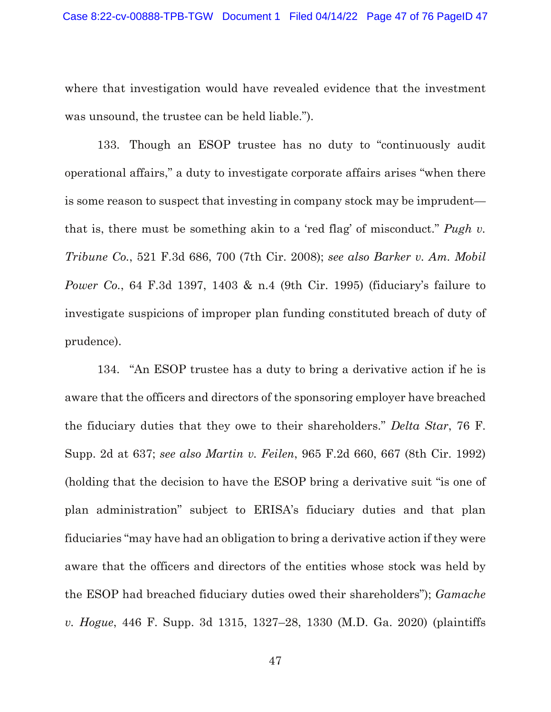where that investigation would have revealed evidence that the investment was unsound, the trustee can be held liable.").

133. Though an ESOP trustee has no duty to "continuously audit operational affairs," a duty to investigate corporate affairs arises "when there is some reason to suspect that investing in company stock may be imprudent that is, there must be something akin to a 'red flag' of misconduct." *Pugh v. Tribune Co.*, 521 F.3d 686, 700 (7th Cir. 2008); *see also Barker v. Am. Mobil Power Co.*, 64 F.3d 1397, 1403 & n.4 (9th Cir. 1995) (fiduciary's failure to investigate suspicions of improper plan funding constituted breach of duty of prudence).

134. "An ESOP trustee has a duty to bring a derivative action if he is aware that the officers and directors of the sponsoring employer have breached the fiduciary duties that they owe to their shareholders." *Delta Star*, 76 F. Supp. 2d at 637; *see also Martin v. Feilen*, 965 F.2d 660, 667 (8th Cir. 1992) (holding that the decision to have the ESOP bring a derivative suit "is one of plan administration" subject to ERISA's fiduciary duties and that plan fiduciaries "may have had an obligation to bring a derivative action if they were aware that the officers and directors of the entities whose stock was held by the ESOP had breached fiduciary duties owed their shareholders"); *Gamache v. Hogue*, 446 F. Supp. 3d 1315, 1327–28, 1330 (M.D. Ga. 2020) (plaintiffs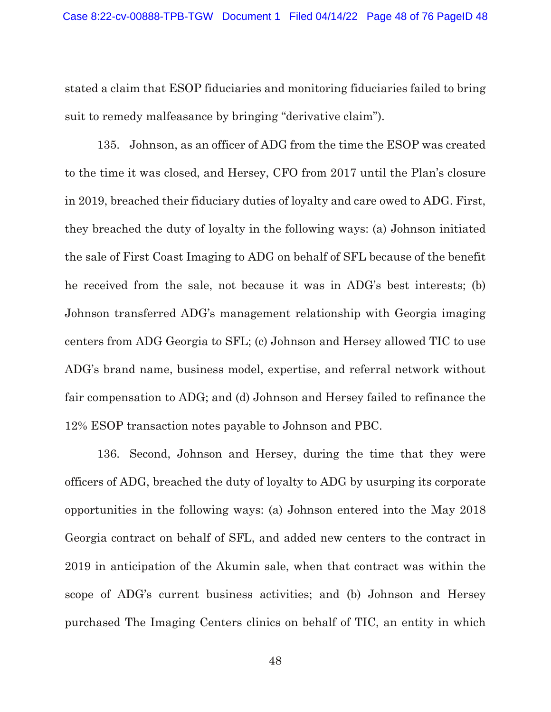stated a claim that ESOP fiduciaries and monitoring fiduciaries failed to bring suit to remedy malfeasance by bringing "derivative claim").

135. Johnson, as an officer of ADG from the time the ESOP was created to the time it was closed, and Hersey, CFO from 2017 until the Plan's closure in 2019, breached their fiduciary duties of loyalty and care owed to ADG. First, they breached the duty of loyalty in the following ways: (a) Johnson initiated the sale of First Coast Imaging to ADG on behalf of SFL because of the benefit he received from the sale, not because it was in ADG's best interests; (b) Johnson transferred ADG's management relationship with Georgia imaging centers from ADG Georgia to SFL; (c) Johnson and Hersey allowed TIC to use ADG's brand name, business model, expertise, and referral network without fair compensation to ADG; and (d) Johnson and Hersey failed to refinance the 12% ESOP transaction notes payable to Johnson and PBC.

136. Second, Johnson and Hersey, during the time that they were officers of ADG, breached the duty of loyalty to ADG by usurping its corporate opportunities in the following ways: (a) Johnson entered into the May 2018 Georgia contract on behalf of SFL, and added new centers to the contract in 2019 in anticipation of the Akumin sale, when that contract was within the scope of ADG's current business activities; and (b) Johnson and Hersey purchased The Imaging Centers clinics on behalf of TIC, an entity in which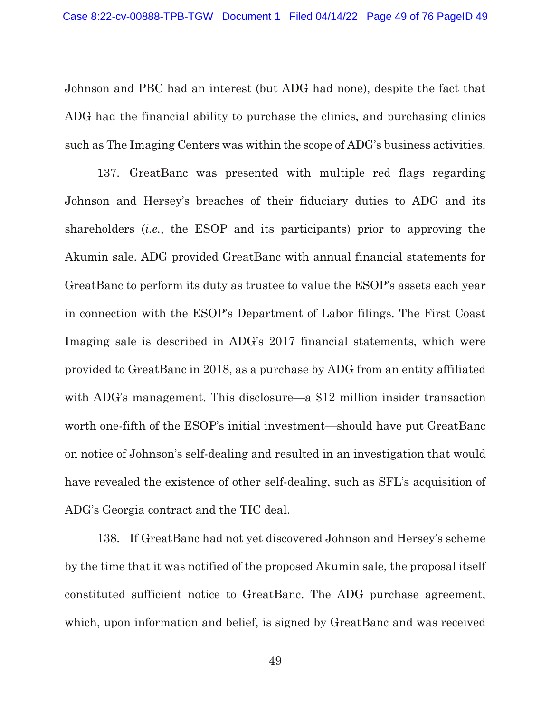Johnson and PBC had an interest (but ADG had none), despite the fact that ADG had the financial ability to purchase the clinics, and purchasing clinics such as The Imaging Centers was within the scope of ADG's business activities.

137. GreatBanc was presented with multiple red flags regarding Johnson and Hersey's breaches of their fiduciary duties to ADG and its shareholders (*i.e.*, the ESOP and its participants) prior to approving the Akumin sale. ADG provided GreatBanc with annual financial statements for GreatBanc to perform its duty as trustee to value the ESOP's assets each year in connection with the ESOP's Department of Labor filings. The First Coast Imaging sale is described in ADG's 2017 financial statements, which were provided to GreatBanc in 2018, as a purchase by ADG from an entity affiliated with ADG's management. This disclosure—a \$12 million insider transaction worth one-fifth of the ESOP's initial investment—should have put GreatBanc on notice of Johnson's self-dealing and resulted in an investigation that would have revealed the existence of other self-dealing, such as SFL's acquisition of ADG's Georgia contract and the TIC deal.

138. If GreatBanc had not yet discovered Johnson and Hersey's scheme by the time that it was notified of the proposed Akumin sale, the proposal itself constituted sufficient notice to GreatBanc. The ADG purchase agreement, which, upon information and belief, is signed by GreatBanc and was received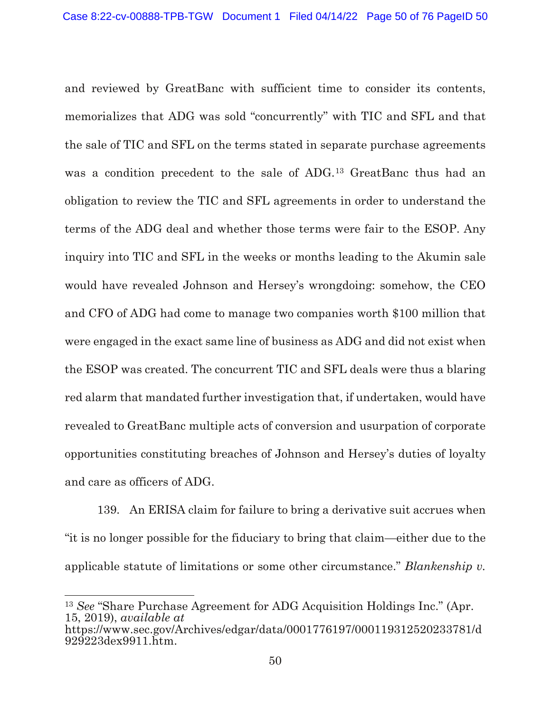and reviewed by GreatBanc with sufficient time to consider its contents, memorializes that ADG was sold "concurrently" with TIC and SFL and that the sale of TIC and SFL on the terms stated in separate purchase agreements was a condition precedent to the sale of ADG.[13](#page-49-0) GreatBanc thus had an obligation to review the TIC and SFL agreements in order to understand the terms of the ADG deal and whether those terms were fair to the ESOP. Any inquiry into TIC and SFL in the weeks or months leading to the Akumin sale would have revealed Johnson and Hersey's wrongdoing: somehow, the CEO and CFO of ADG had come to manage two companies worth \$100 million that were engaged in the exact same line of business as ADG and did not exist when the ESOP was created. The concurrent TIC and SFL deals were thus a blaring red alarm that mandated further investigation that, if undertaken, would have revealed to GreatBanc multiple acts of conversion and usurpation of corporate opportunities constituting breaches of Johnson and Hersey's duties of loyalty and care as officers of ADG.

139. An ERISA claim for failure to bring a derivative suit accrues when "it is no longer possible for the fiduciary to bring that claim—either due to the applicable statute of limitations or some other circumstance." *Blankenship v.* 

 $\overline{a}$ 

<span id="page-49-0"></span><sup>13</sup> *See* "Share Purchase Agreement for ADG Acquisition Holdings Inc." (Apr. 15, 2019), *available at*  https://www.sec.gov/Archives/edgar/data/0001776197/000119312520233781/d 929223dex9911.htm.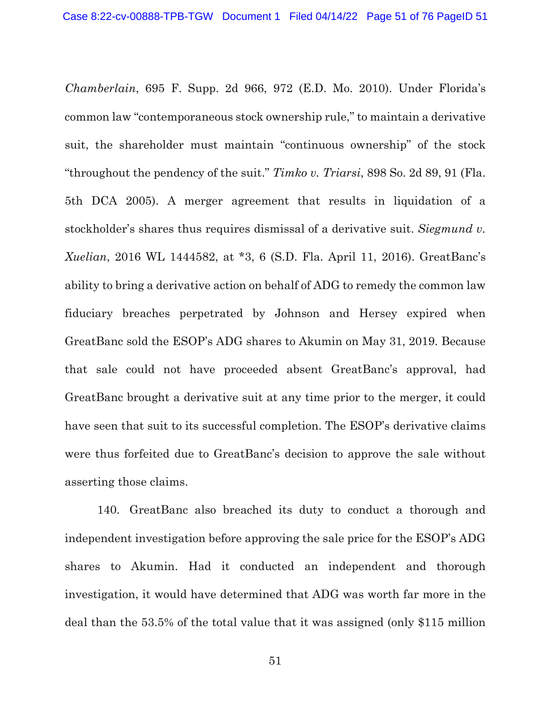*Chamberlain*, 695 F. Supp. 2d 966, 972 (E.D. Mo. 2010). Under Florida's common law "contemporaneous stock ownership rule," to maintain a derivative suit, the shareholder must maintain "continuous ownership" of the stock "throughout the pendency of the suit." *Timko v. Triarsi*, 898 So. 2d 89, 91 (Fla. 5th DCA 2005). A merger agreement that results in liquidation of a stockholder's shares thus requires dismissal of a derivative suit. *Siegmund v. Xuelian*, 2016 WL 1444582, at \*3, 6 (S.D. Fla. April 11, 2016). GreatBanc's ability to bring a derivative action on behalf of ADG to remedy the common law fiduciary breaches perpetrated by Johnson and Hersey expired when GreatBanc sold the ESOP's ADG shares to Akumin on May 31, 2019. Because that sale could not have proceeded absent GreatBanc's approval, had GreatBanc brought a derivative suit at any time prior to the merger, it could have seen that suit to its successful completion. The ESOP's derivative claims were thus forfeited due to GreatBanc's decision to approve the sale without asserting those claims.

140. GreatBanc also breached its duty to conduct a thorough and independent investigation before approving the sale price for the ESOP's ADG shares to Akumin. Had it conducted an independent and thorough investigation, it would have determined that ADG was worth far more in the deal than the 53.5% of the total value that it was assigned (only \$115 million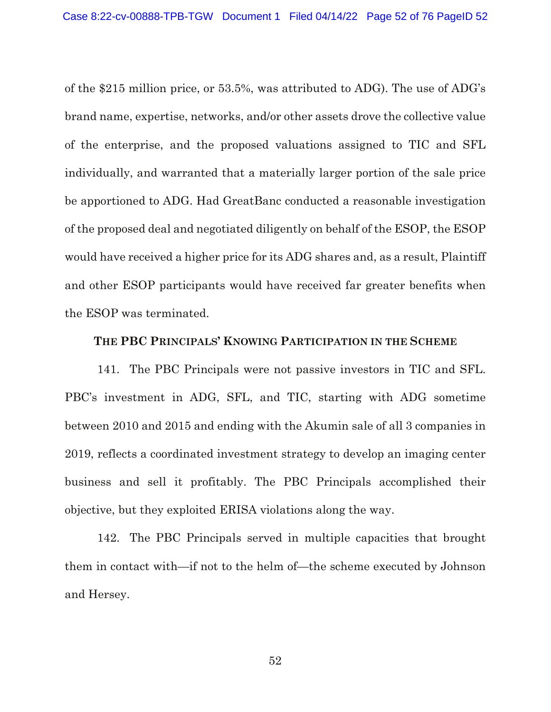of the \$215 million price, or 53.5%, was attributed to ADG). The use of ADG's brand name, expertise, networks, and/or other assets drove the collective value of the enterprise, and the proposed valuations assigned to TIC and SFL individually, and warranted that a materially larger portion of the sale price be apportioned to ADG. Had GreatBanc conducted a reasonable investigation of the proposed deal and negotiated diligently on behalf of the ESOP, the ESOP would have received a higher price for its ADG shares and, as a result, Plaintiff and other ESOP participants would have received far greater benefits when the ESOP was terminated.

### **THE PBC PRINCIPALS' KNOWING PARTICIPATION IN THE SCHEME**

141. The PBC Principals were not passive investors in TIC and SFL. PBC's investment in ADG, SFL, and TIC, starting with ADG sometime between 2010 and 2015 and ending with the Akumin sale of all 3 companies in 2019, reflects a coordinated investment strategy to develop an imaging center business and sell it profitably. The PBC Principals accomplished their objective, but they exploited ERISA violations along the way.

142. The PBC Principals served in multiple capacities that brought them in contact with—if not to the helm of—the scheme executed by Johnson and Hersey.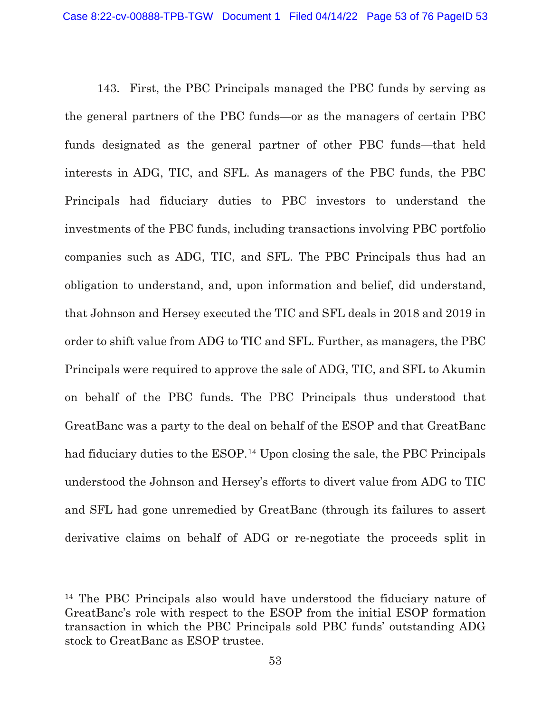143. First, the PBC Principals managed the PBC funds by serving as the general partners of the PBC funds—or as the managers of certain PBC funds designated as the general partner of other PBC funds—that held interests in ADG, TIC, and SFL. As managers of the PBC funds, the PBC Principals had fiduciary duties to PBC investors to understand the investments of the PBC funds, including transactions involving PBC portfolio companies such as ADG, TIC, and SFL. The PBC Principals thus had an obligation to understand, and, upon information and belief, did understand, that Johnson and Hersey executed the TIC and SFL deals in 2018 and 2019 in order to shift value from ADG to TIC and SFL. Further, as managers, the PBC Principals were required to approve the sale of ADG, TIC, and SFL to Akumin on behalf of the PBC funds. The PBC Principals thus understood that GreatBanc was a party to the deal on behalf of the ESOP and that GreatBanc had fiduciary duties to the ESOP.<sup>[14](#page-52-0)</sup> Upon closing the sale, the PBC Principals understood the Johnson and Hersey's efforts to divert value from ADG to TIC and SFL had gone unremedied by GreatBanc (through its failures to assert derivative claims on behalf of ADG or re-negotiate the proceeds split in

 $\overline{a}$ 

<span id="page-52-0"></span><sup>14</sup> The PBC Principals also would have understood the fiduciary nature of GreatBanc's role with respect to the ESOP from the initial ESOP formation transaction in which the PBC Principals sold PBC funds' outstanding ADG stock to GreatBanc as ESOP trustee.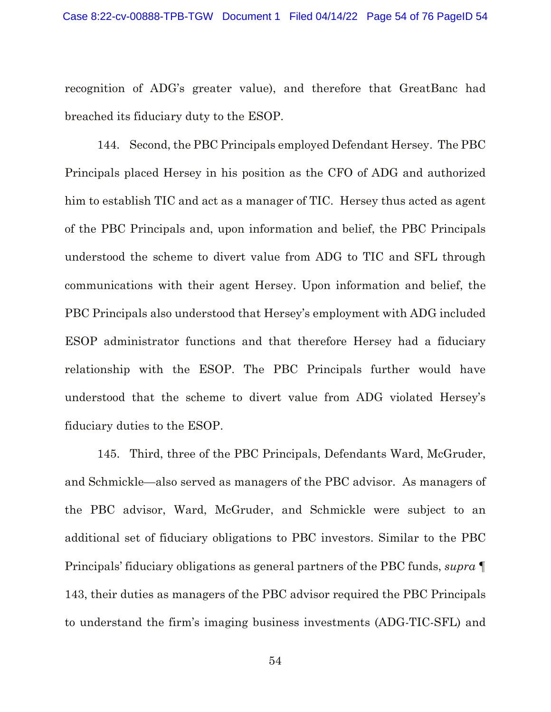recognition of ADG's greater value), and therefore that GreatBanc had breached its fiduciary duty to the ESOP.

144. Second, the PBC Principals employed Defendant Hersey. The PBC Principals placed Hersey in his position as the CFO of ADG and authorized him to establish TIC and act as a manager of TIC. Hersey thus acted as agent of the PBC Principals and, upon information and belief, the PBC Principals understood the scheme to divert value from ADG to TIC and SFL through communications with their agent Hersey. Upon information and belief, the PBC Principals also understood that Hersey's employment with ADG included ESOP administrator functions and that therefore Hersey had a fiduciary relationship with the ESOP. The PBC Principals further would have understood that the scheme to divert value from ADG violated Hersey's fiduciary duties to the ESOP.

145. Third, three of the PBC Principals, Defendants Ward, McGruder, and Schmickle—also served as managers of the PBC advisor. As managers of the PBC advisor, Ward, McGruder, and Schmickle were subject to an additional set of fiduciary obligations to PBC investors. Similar to the PBC Principals' fiduciary obligations as general partners of the PBC funds, *supra* ¶ 143, their duties as managers of the PBC advisor required the PBC Principals to understand the firm's imaging business investments (ADG-TIC-SFL) and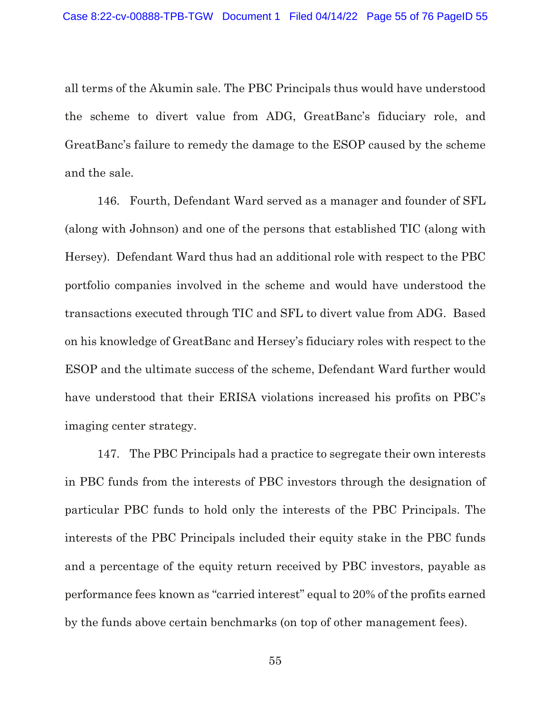all terms of the Akumin sale. The PBC Principals thus would have understood the scheme to divert value from ADG, GreatBanc's fiduciary role, and GreatBanc's failure to remedy the damage to the ESOP caused by the scheme and the sale.

146. Fourth, Defendant Ward served as a manager and founder of SFL (along with Johnson) and one of the persons that established TIC (along with Hersey). Defendant Ward thus had an additional role with respect to the PBC portfolio companies involved in the scheme and would have understood the transactions executed through TIC and SFL to divert value from ADG. Based on his knowledge of GreatBanc and Hersey's fiduciary roles with respect to the ESOP and the ultimate success of the scheme, Defendant Ward further would have understood that their ERISA violations increased his profits on PBC's imaging center strategy.

147. The PBC Principals had a practice to segregate their own interests in PBC funds from the interests of PBC investors through the designation of particular PBC funds to hold only the interests of the PBC Principals. The interests of the PBC Principals included their equity stake in the PBC funds and a percentage of the equity return received by PBC investors, payable as performance fees known as "carried interest" equal to 20% of the profits earned by the funds above certain benchmarks (on top of other management fees).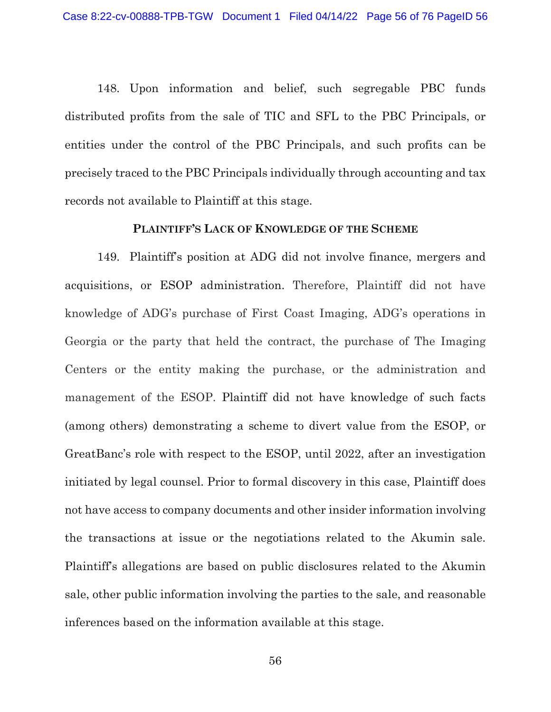148. Upon information and belief, such segregable PBC funds distributed profits from the sale of TIC and SFL to the PBC Principals, or entities under the control of the PBC Principals, and such profits can be precisely traced to the PBC Principals individually through accounting and tax records not available to Plaintiff at this stage.

#### **PLAINTIFF'S LACK OF KNOWLEDGE OF THE SCHEME**

149. Plaintiff's position at ADG did not involve finance, mergers and acquisitions, or ESOP administration. Therefore, Plaintiff did not have knowledge of ADG's purchase of First Coast Imaging, ADG's operations in Georgia or the party that held the contract, the purchase of The Imaging Centers or the entity making the purchase, or the administration and management of the ESOP. Plaintiff did not have knowledge of such facts (among others) demonstrating a scheme to divert value from the ESOP, or GreatBanc's role with respect to the ESOP, until 2022, after an investigation initiated by legal counsel. Prior to formal discovery in this case, Plaintiff does not have access to company documents and other insider information involving the transactions at issue or the negotiations related to the Akumin sale. Plaintiff's allegations are based on public disclosures related to the Akumin sale, other public information involving the parties to the sale, and reasonable inferences based on the information available at this stage.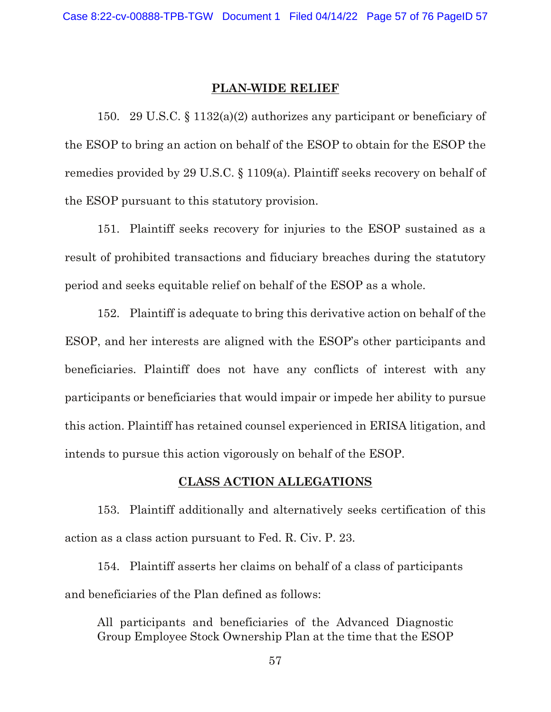#### **PLAN-WIDE RELIEF**

150. 29 U.S.C. § 1132(a)(2) authorizes any participant or beneficiary of the ESOP to bring an action on behalf of the ESOP to obtain for the ESOP the remedies provided by 29 U.S.C. § 1109(a). Plaintiff seeks recovery on behalf of the ESOP pursuant to this statutory provision.

151. Plaintiff seeks recovery for injuries to the ESOP sustained as a result of prohibited transactions and fiduciary breaches during the statutory period and seeks equitable relief on behalf of the ESOP as a whole.

152. Plaintiff is adequate to bring this derivative action on behalf of the ESOP, and her interests are aligned with the ESOP's other participants and beneficiaries. Plaintiff does not have any conflicts of interest with any participants or beneficiaries that would impair or impede her ability to pursue this action. Plaintiff has retained counsel experienced in ERISA litigation, and intends to pursue this action vigorously on behalf of the ESOP.

#### **CLASS ACTION ALLEGATIONS**

153. Plaintiff additionally and alternatively seeks certification of this action as a class action pursuant to Fed. R. Civ. P. 23.

154. Plaintiff asserts her claims on behalf of a class of participants and beneficiaries of the Plan defined as follows:

All participants and beneficiaries of the Advanced Diagnostic Group Employee Stock Ownership Plan at the time that the ESOP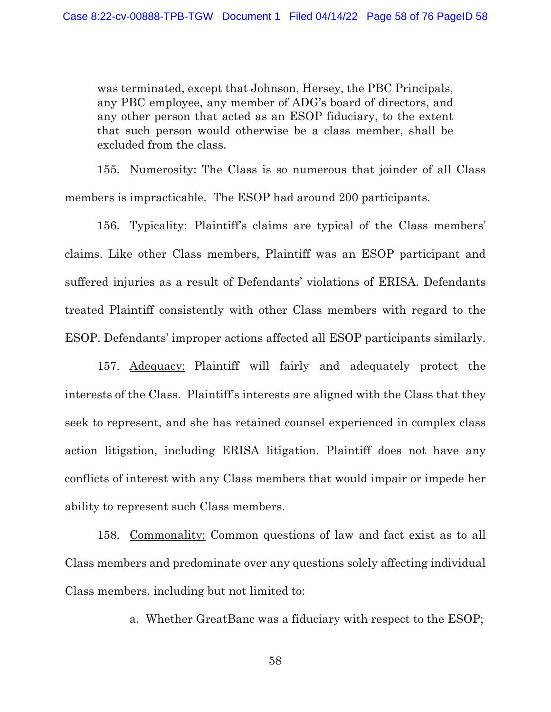was terminated, except that Johnson, Hersey, the PBC Principals, any PBC employee, any member of ADG's board of directors, and any other person that acted as an ESOP fiduciary, to the extent that such person would otherwise be a class member, shall be excluded from the class.

155. Numerosity: The Class is so numerous that joinder of all Class members is impracticable. The ESOP had around 200 participants.

156. Typicality: Plaintiff's claims are typical of the Class members' claims. Like other Class members, Plaintiff was an ESOP participant and suffered injuries as a result of Defendants' violations of ERISA. Defendants treated Plaintiff consistently with other Class members with regard to the ESOP. Defendants' improper actions affected all ESOP participants similarly.

157. Adequacy: Plaintiff will fairly and adequately protect the interests of the Class. Plaintiff's interests are aligned with the Class that they seek to represent, and she has retained counsel experienced in complex class action litigation, including ERISA litigation. Plaintiff does not have any conflicts of interest with any Class members that would impair or impede her ability to represent such Class members.

158. Commonality: Common questions of law and fact exist as to all Class members and predominate over any questions solely affecting individual Class members, including but not limited to:

a. Whether GreatBanc was a fiduciary with respect to the ESOP;

58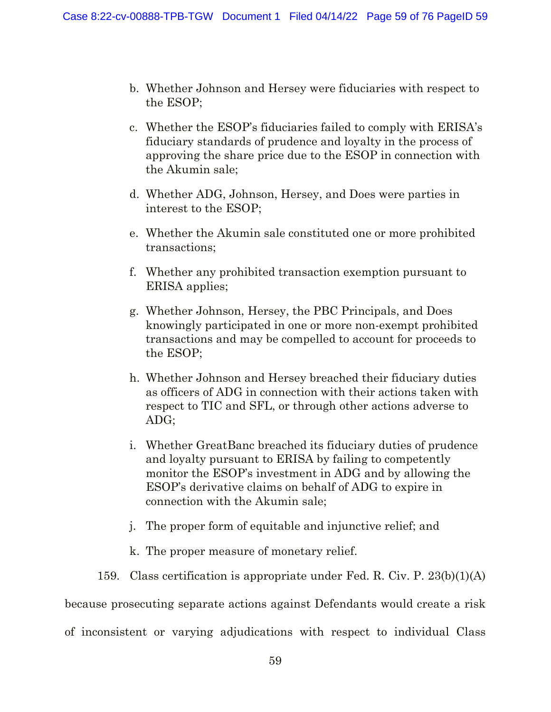- b. Whether Johnson and Hersey were fiduciaries with respect to the ESOP;
- c. Whether the ESOP's fiduciaries failed to comply with ERISA's fiduciary standards of prudence and loyalty in the process of approving the share price due to the ESOP in connection with the Akumin sale;
- d. Whether ADG, Johnson, Hersey, and Does were parties in interest to the ESOP;
- e. Whether the Akumin sale constituted one or more prohibited transactions;
- f. Whether any prohibited transaction exemption pursuant to ERISA applies;
- g. Whether Johnson, Hersey, the PBC Principals, and Does knowingly participated in one or more non-exempt prohibited transactions and may be compelled to account for proceeds to the ESOP;
- h. Whether Johnson and Hersey breached their fiduciary duties as officers of ADG in connection with their actions taken with respect to TIC and SFL, or through other actions adverse to ADG;
- i. Whether GreatBanc breached its fiduciary duties of prudence and loyalty pursuant to ERISA by failing to competently monitor the ESOP's investment in ADG and by allowing the ESOP's derivative claims on behalf of ADG to expire in connection with the Akumin sale;
- j. The proper form of equitable and injunctive relief; and
- k. The proper measure of monetary relief.
- 159. Class certification is appropriate under Fed. R. Civ. P. 23(b)(1)(A)

because prosecuting separate actions against Defendants would create a risk

of inconsistent or varying adjudications with respect to individual Class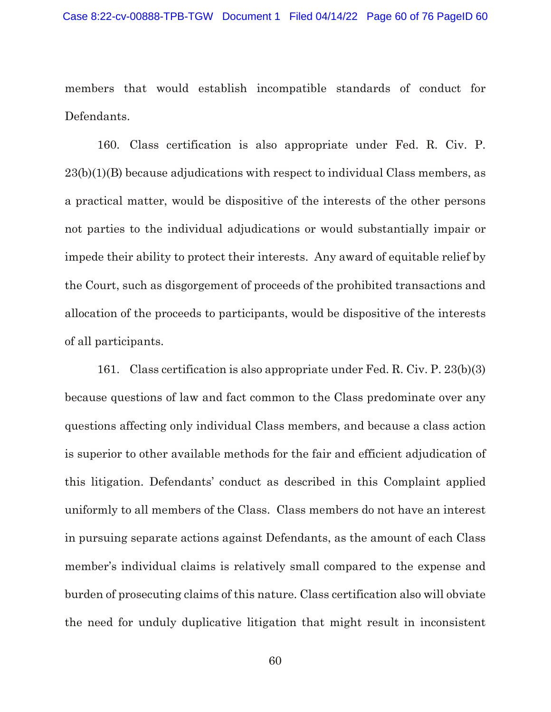members that would establish incompatible standards of conduct for Defendants.

160. Class certification is also appropriate under Fed. R. Civ. P. 23(b)(1)(B) because adjudications with respect to individual Class members, as a practical matter, would be dispositive of the interests of the other persons not parties to the individual adjudications or would substantially impair or impede their ability to protect their interests. Any award of equitable relief by the Court, such as disgorgement of proceeds of the prohibited transactions and allocation of the proceeds to participants, would be dispositive of the interests of all participants.

161. Class certification is also appropriate under Fed. R. Civ. P. 23(b)(3) because questions of law and fact common to the Class predominate over any questions affecting only individual Class members, and because a class action is superior to other available methods for the fair and efficient adjudication of this litigation. Defendants' conduct as described in this Complaint applied uniformly to all members of the Class. Class members do not have an interest in pursuing separate actions against Defendants, as the amount of each Class member's individual claims is relatively small compared to the expense and burden of prosecuting claims of this nature. Class certification also will obviate the need for unduly duplicative litigation that might result in inconsistent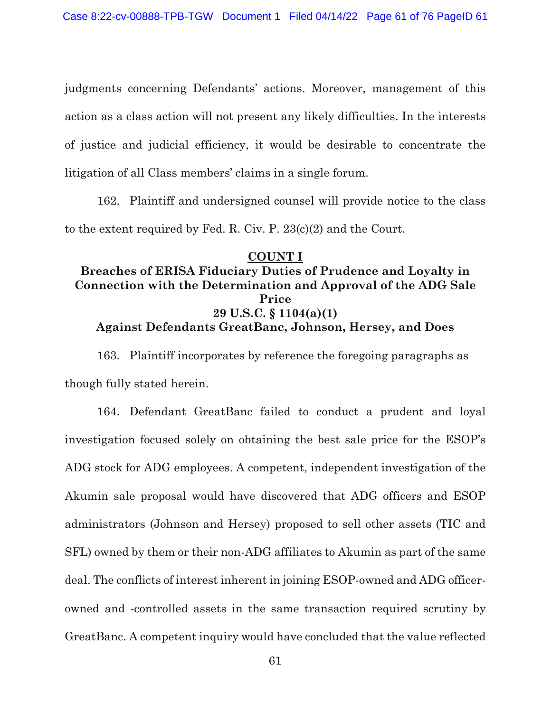judgments concerning Defendants' actions. Moreover, management of this action as a class action will not present any likely difficulties. In the interests of justice and judicial efficiency, it would be desirable to concentrate the litigation of all Class members' claims in a single forum.

162. Plaintiff and undersigned counsel will provide notice to the class to the extent required by Fed. R. Civ. P. 23(c)(2) and the Court.

## **COUNT I Breaches of ERISA Fiduciary Duties of Prudence and Loyalty in Connection with the Determination and Approval of the ADG Sale Price 29 U.S.C. § 1104(a)(1) Against Defendants GreatBanc, Johnson, Hersey, and Does**

163. Plaintiff incorporates by reference the foregoing paragraphs as though fully stated herein.

164. Defendant GreatBanc failed to conduct a prudent and loyal investigation focused solely on obtaining the best sale price for the ESOP's ADG stock for ADG employees. A competent, independent investigation of the Akumin sale proposal would have discovered that ADG officers and ESOP administrators (Johnson and Hersey) proposed to sell other assets (TIC and SFL) owned by them or their non-ADG affiliates to Akumin as part of the same deal. The conflicts of interest inherent in joining ESOP-owned and ADG officerowned and -controlled assets in the same transaction required scrutiny by GreatBanc. A competent inquiry would have concluded that the value reflected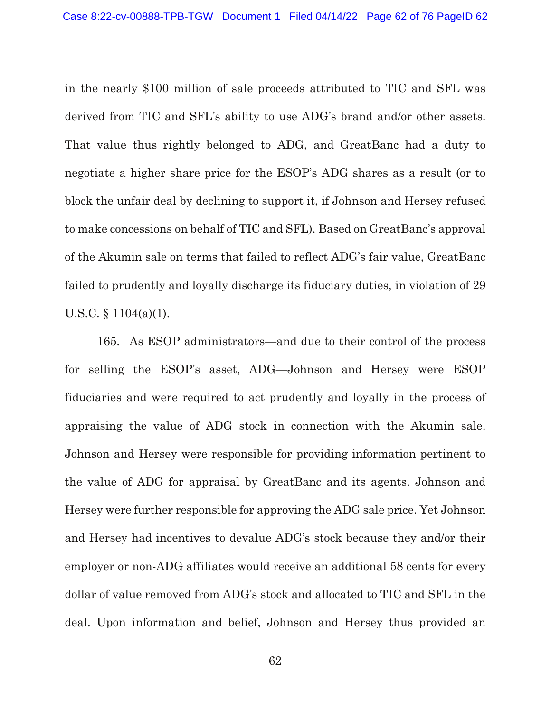in the nearly \$100 million of sale proceeds attributed to TIC and SFL was derived from TIC and SFL's ability to use ADG's brand and/or other assets. That value thus rightly belonged to ADG, and GreatBanc had a duty to negotiate a higher share price for the ESOP's ADG shares as a result (or to block the unfair deal by declining to support it, if Johnson and Hersey refused to make concessions on behalf of TIC and SFL). Based on GreatBanc's approval of the Akumin sale on terms that failed to reflect ADG's fair value, GreatBanc failed to prudently and loyally discharge its fiduciary duties, in violation of 29 U.S.C. § 1104(a)(1).

165. As ESOP administrators—and due to their control of the process for selling the ESOP's asset, ADG—Johnson and Hersey were ESOP fiduciaries and were required to act prudently and loyally in the process of appraising the value of ADG stock in connection with the Akumin sale. Johnson and Hersey were responsible for providing information pertinent to the value of ADG for appraisal by GreatBanc and its agents. Johnson and Hersey were further responsible for approving the ADG sale price. Yet Johnson and Hersey had incentives to devalue ADG's stock because they and/or their employer or non-ADG affiliates would receive an additional 58 cents for every dollar of value removed from ADG's stock and allocated to TIC and SFL in the deal. Upon information and belief, Johnson and Hersey thus provided an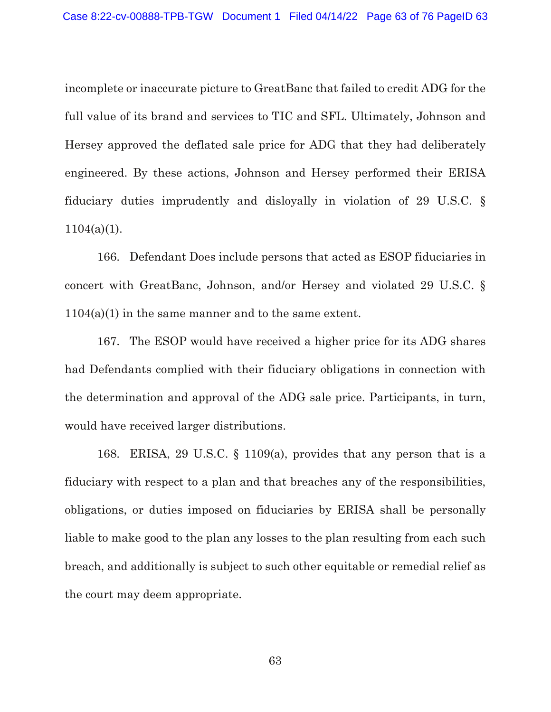incomplete or inaccurate picture to GreatBanc that failed to credit ADG for the full value of its brand and services to TIC and SFL. Ultimately, Johnson and Hersey approved the deflated sale price for ADG that they had deliberately engineered. By these actions, Johnson and Hersey performed their ERISA fiduciary duties imprudently and disloyally in violation of 29 U.S.C. §  $1104(a)(1)$ .

166. Defendant Does include persons that acted as ESOP fiduciaries in concert with GreatBanc, Johnson, and/or Hersey and violated 29 U.S.C. § 1104(a)(1) in the same manner and to the same extent.

167. The ESOP would have received a higher price for its ADG shares had Defendants complied with their fiduciary obligations in connection with the determination and approval of the ADG sale price. Participants, in turn, would have received larger distributions.

168. ERISA, 29 U.S.C. § 1109(a), provides that any person that is a fiduciary with respect to a plan and that breaches any of the responsibilities, obligations, or duties imposed on fiduciaries by ERISA shall be personally liable to make good to the plan any losses to the plan resulting from each such breach, and additionally is subject to such other equitable or remedial relief as the court may deem appropriate.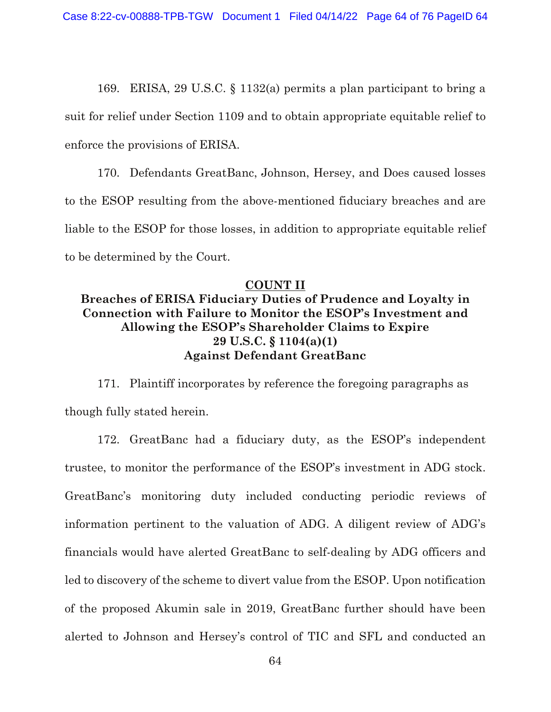169. ERISA, 29 U.S.C. § 1132(a) permits a plan participant to bring a suit for relief under Section 1109 and to obtain appropriate equitable relief to enforce the provisions of ERISA.

170. Defendants GreatBanc, Johnson, Hersey, and Does caused losses to the ESOP resulting from the above-mentioned fiduciary breaches and are liable to the ESOP for those losses, in addition to appropriate equitable relief to be determined by the Court.

### **COUNT II**

## **Breaches of ERISA Fiduciary Duties of Prudence and Loyalty in Connection with Failure to Monitor the ESOP's Investment and Allowing the ESOP's Shareholder Claims to Expire 29 U.S.C. § 1104(a)(1) Against Defendant GreatBanc**

171. Plaintiff incorporates by reference the foregoing paragraphs as though fully stated herein.

172. GreatBanc had a fiduciary duty, as the ESOP's independent trustee, to monitor the performance of the ESOP's investment in ADG stock. GreatBanc's monitoring duty included conducting periodic reviews of information pertinent to the valuation of ADG. A diligent review of ADG's financials would have alerted GreatBanc to self-dealing by ADG officers and led to discovery of the scheme to divert value from the ESOP. Upon notification of the proposed Akumin sale in 2019, GreatBanc further should have been alerted to Johnson and Hersey's control of TIC and SFL and conducted an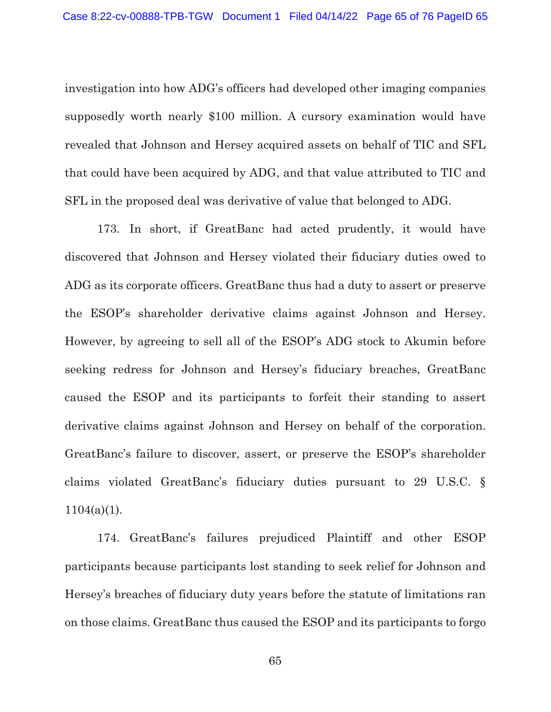investigation into how ADG's officers had developed other imaging companies supposedly worth nearly \$100 million. A cursory examination would have revealed that Johnson and Hersey acquired assets on behalf of TIC and SFL that could have been acquired by ADG, and that value attributed to TIC and SFL in the proposed deal was derivative of value that belonged to ADG.

173. In short, if GreatBanc had acted prudently, it would have discovered that Johnson and Hersey violated their fiduciary duties owed to ADG as its corporate officers. GreatBanc thus had a duty to assert or preserve the ESOP's shareholder derivative claims against Johnson and Hersey. However, by agreeing to sell all of the ESOP's ADG stock to Akumin before seeking redress for Johnson and Hersey's fiduciary breaches, GreatBanc caused the ESOP and its participants to forfeit their standing to assert derivative claims against Johnson and Hersey on behalf of the corporation. GreatBanc's failure to discover, assert, or preserve the ESOP's shareholder claims violated GreatBanc's fiduciary duties pursuant to 29 U.S.C. §  $1104(a)(1)$ .

174. GreatBanc's failures prejudiced Plaintiff and other ESOP participants because participants lost standing to seek relief for Johnson and Hersey's breaches of fiduciary duty years before the statute of limitations ran on those claims. GreatBanc thus caused the ESOP and its participants to forgo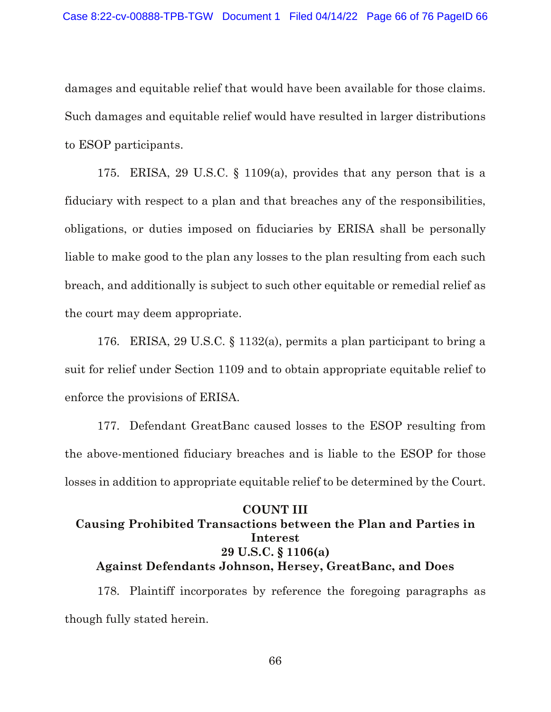damages and equitable relief that would have been available for those claims. Such damages and equitable relief would have resulted in larger distributions to ESOP participants.

175. ERISA, 29 U.S.C. § 1109(a), provides that any person that is a fiduciary with respect to a plan and that breaches any of the responsibilities, obligations, or duties imposed on fiduciaries by ERISA shall be personally liable to make good to the plan any losses to the plan resulting from each such breach, and additionally is subject to such other equitable or remedial relief as the court may deem appropriate.

176. ERISA, 29 U.S.C. § 1132(a), permits a plan participant to bring a suit for relief under Section 1109 and to obtain appropriate equitable relief to enforce the provisions of ERISA.

177. Defendant GreatBanc caused losses to the ESOP resulting from the above-mentioned fiduciary breaches and is liable to the ESOP for those losses in addition to appropriate equitable relief to be determined by the Court.

# **COUNT III Causing Prohibited Transactions between the Plan and Parties in Interest 29 U.S.C. § 1106(a) Against Defendants Johnson, Hersey, GreatBanc, and Does**

178. Plaintiff incorporates by reference the foregoing paragraphs as though fully stated herein.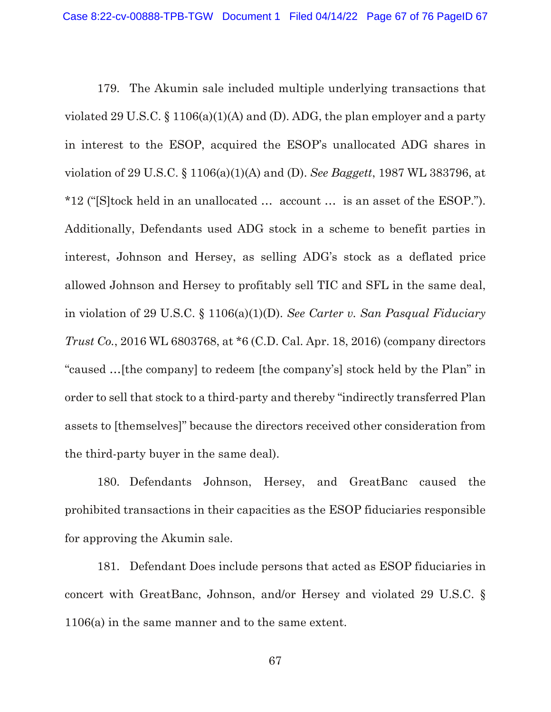179. The Akumin sale included multiple underlying transactions that violated 29 U.S.C. § 1106(a)(1)(A) and (D). ADG, the plan employer and a party in interest to the ESOP, acquired the ESOP's unallocated ADG shares in violation of 29 U.S.C. § 1106(a)(1)(A) and (D). *See Baggett*, 1987 WL 383796, at \*12 ("[S]tock held in an unallocated … account … is an asset of the ESOP."). Additionally, Defendants used ADG stock in a scheme to benefit parties in interest, Johnson and Hersey, as selling ADG's stock as a deflated price allowed Johnson and Hersey to profitably sell TIC and SFL in the same deal, in violation of 29 U.S.C. § 1106(a)(1)(D). *See Carter v. San Pasqual Fiduciary Trust Co.*, 2016 WL 6803768, at \*6 (C.D. Cal. Apr. 18, 2016) (company directors "caused …[the company] to redeem [the company's] stock held by the Plan" in order to sell that stock to a third-party and thereby "indirectly transferred Plan assets to [themselves]" because the directors received other consideration from the third-party buyer in the same deal).

180. Defendants Johnson, Hersey, and GreatBanc caused the prohibited transactions in their capacities as the ESOP fiduciaries responsible for approving the Akumin sale.

181. Defendant Does include persons that acted as ESOP fiduciaries in concert with GreatBanc, Johnson, and/or Hersey and violated 29 U.S.C. § 1106(a) in the same manner and to the same extent.

67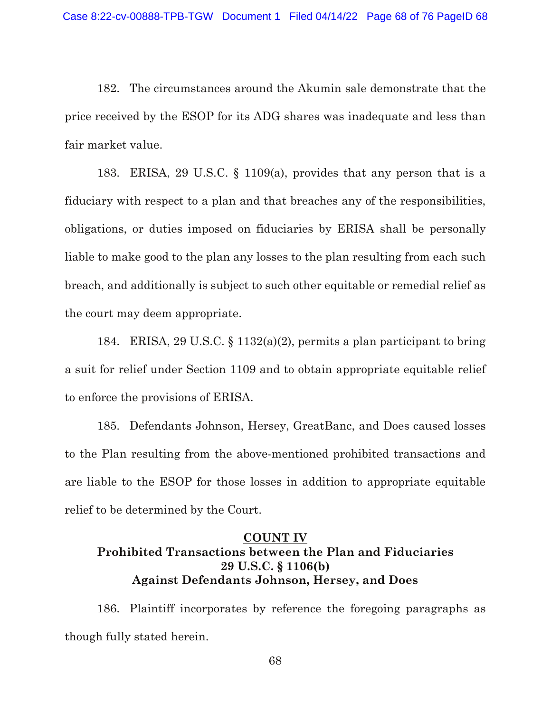182. The circumstances around the Akumin sale demonstrate that the price received by the ESOP for its ADG shares was inadequate and less than fair market value.

183. ERISA, 29 U.S.C. § 1109(a), provides that any person that is a fiduciary with respect to a plan and that breaches any of the responsibilities, obligations, or duties imposed on fiduciaries by ERISA shall be personally liable to make good to the plan any losses to the plan resulting from each such breach, and additionally is subject to such other equitable or remedial relief as the court may deem appropriate.

184. ERISA, 29 U.S.C. § 1132(a)(2), permits a plan participant to bring a suit for relief under Section 1109 and to obtain appropriate equitable relief to enforce the provisions of ERISA.

185. Defendants Johnson, Hersey, GreatBanc, and Does caused losses to the Plan resulting from the above-mentioned prohibited transactions and are liable to the ESOP for those losses in addition to appropriate equitable relief to be determined by the Court.

# **COUNT IV Prohibited Transactions between the Plan and Fiduciaries 29 U.S.C. § 1106(b) Against Defendants Johnson, Hersey, and Does**

186. Plaintiff incorporates by reference the foregoing paragraphs as though fully stated herein.

68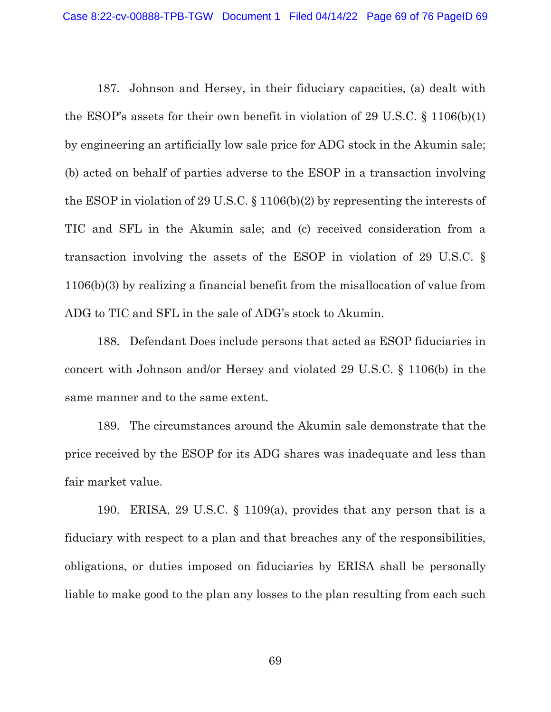187. Johnson and Hersey, in their fiduciary capacities, (a) dealt with the ESOP's assets for their own benefit in violation of 29 U.S.C. § 1106(b)(1) by engineering an artificially low sale price for ADG stock in the Akumin sale; (b) acted on behalf of parties adverse to the ESOP in a transaction involving the ESOP in violation of 29 U.S.C. § 1106(b)(2) by representing the interests of TIC and SFL in the Akumin sale; and (c) received consideration from a transaction involving the assets of the ESOP in violation of 29 U.S.C. § 1106(b)(3) by realizing a financial benefit from the misallocation of value from ADG to TIC and SFL in the sale of ADG's stock to Akumin.

188. Defendant Does include persons that acted as ESOP fiduciaries in concert with Johnson and/or Hersey and violated 29 U.S.C. § 1106(b) in the same manner and to the same extent.

189. The circumstances around the Akumin sale demonstrate that the price received by the ESOP for its ADG shares was inadequate and less than fair market value.

190. ERISA, 29 U.S.C. § 1109(a), provides that any person that is a fiduciary with respect to a plan and that breaches any of the responsibilities, obligations, or duties imposed on fiduciaries by ERISA shall be personally liable to make good to the plan any losses to the plan resulting from each such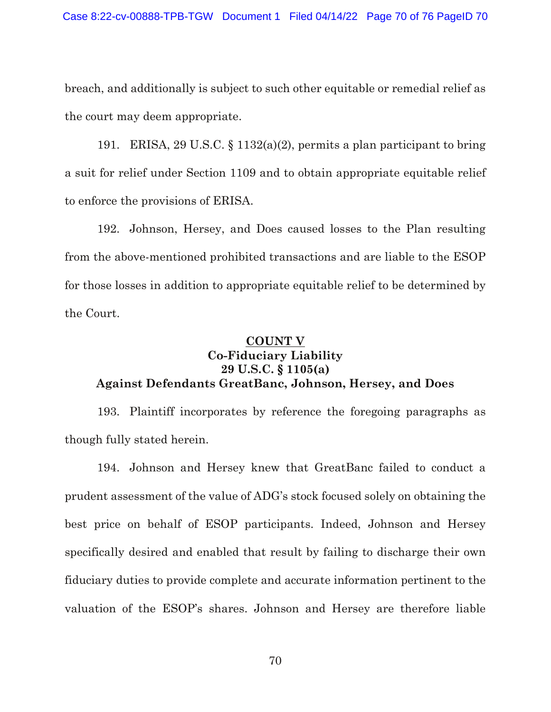breach, and additionally is subject to such other equitable or remedial relief as the court may deem appropriate.

191. ERISA, 29 U.S.C. § 1132(a)(2), permits a plan participant to bring a suit for relief under Section 1109 and to obtain appropriate equitable relief to enforce the provisions of ERISA.

192. Johnson, Hersey, and Does caused losses to the Plan resulting from the above-mentioned prohibited transactions and are liable to the ESOP for those losses in addition to appropriate equitable relief to be determined by the Court.

### **COUNT V**

## **Co-Fiduciary Liability 29 U.S.C. § 1105(a) Against Defendants GreatBanc, Johnson, Hersey, and Does**

193. Plaintiff incorporates by reference the foregoing paragraphs as though fully stated herein.

194. Johnson and Hersey knew that GreatBanc failed to conduct a prudent assessment of the value of ADG's stock focused solely on obtaining the best price on behalf of ESOP participants. Indeed, Johnson and Hersey specifically desired and enabled that result by failing to discharge their own fiduciary duties to provide complete and accurate information pertinent to the valuation of the ESOP's shares. Johnson and Hersey are therefore liable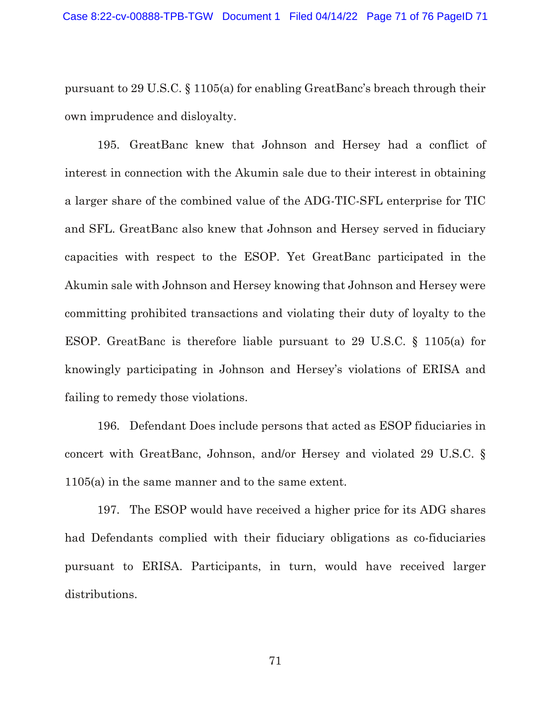pursuant to 29 U.S.C. § 1105(a) for enabling GreatBanc's breach through their own imprudence and disloyalty.

195. GreatBanc knew that Johnson and Hersey had a conflict of interest in connection with the Akumin sale due to their interest in obtaining a larger share of the combined value of the ADG-TIC-SFL enterprise for TIC and SFL. GreatBanc also knew that Johnson and Hersey served in fiduciary capacities with respect to the ESOP. Yet GreatBanc participated in the Akumin sale with Johnson and Hersey knowing that Johnson and Hersey were committing prohibited transactions and violating their duty of loyalty to the ESOP. GreatBanc is therefore liable pursuant to 29 U.S.C. § 1105(a) for knowingly participating in Johnson and Hersey's violations of ERISA and failing to remedy those violations.

196. Defendant Does include persons that acted as ESOP fiduciaries in concert with GreatBanc, Johnson, and/or Hersey and violated 29 U.S.C. § 1105(a) in the same manner and to the same extent.

197. The ESOP would have received a higher price for its ADG shares had Defendants complied with their fiduciary obligations as co-fiduciaries pursuant to ERISA. Participants, in turn, would have received larger distributions.

71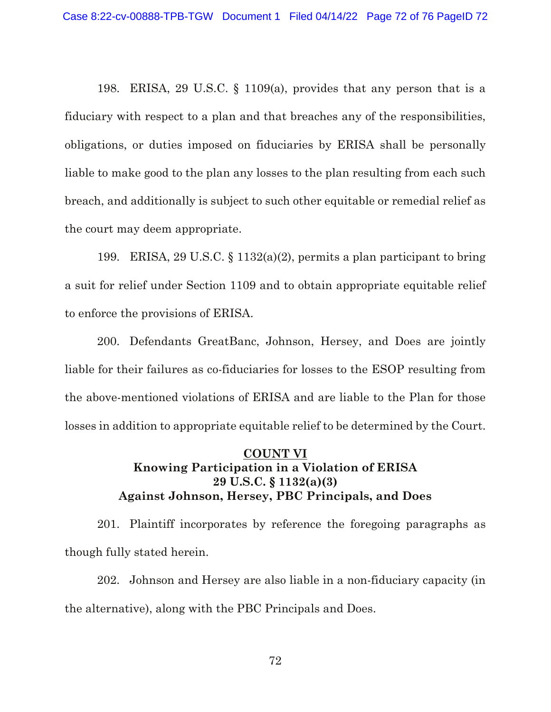198. ERISA, 29 U.S.C. § 1109(a), provides that any person that is a fiduciary with respect to a plan and that breaches any of the responsibilities, obligations, or duties imposed on fiduciaries by ERISA shall be personally liable to make good to the plan any losses to the plan resulting from each such breach, and additionally is subject to such other equitable or remedial relief as the court may deem appropriate.

199. ERISA, 29 U.S.C. § 1132(a)(2), permits a plan participant to bring a suit for relief under Section 1109 and to obtain appropriate equitable relief to enforce the provisions of ERISA.

200. Defendants GreatBanc, Johnson, Hersey, and Does are jointly liable for their failures as co-fiduciaries for losses to the ESOP resulting from the above-mentioned violations of ERISA and are liable to the Plan for those losses in addition to appropriate equitable relief to be determined by the Court.

## **COUNT VI Knowing Participation in a Violation of ERISA 29 U.S.C. § 1132(a)(3) Against Johnson, Hersey, PBC Principals, and Does**

201. Plaintiff incorporates by reference the foregoing paragraphs as though fully stated herein.

202. Johnson and Hersey are also liable in a non-fiduciary capacity (in the alternative), along with the PBC Principals and Does.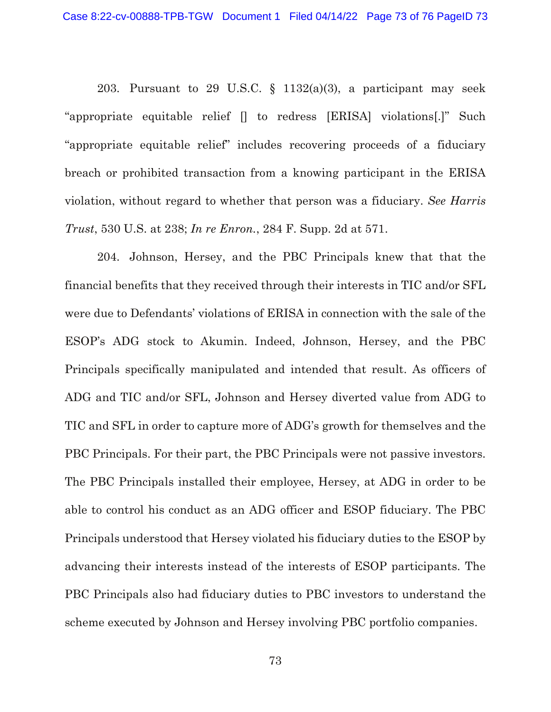203. Pursuant to 29 U.S.C.  $\S$  1132(a)(3), a participant may seek "appropriate equitable relief [] to redress [ERISA] violations[.]" Such "appropriate equitable relief" includes recovering proceeds of a fiduciary breach or prohibited transaction from a knowing participant in the ERISA violation, without regard to whether that person was a fiduciary. *See Harris Trust*, 530 U.S. at 238; *In re Enron.*, 284 F. Supp. 2d at 571.

204. Johnson, Hersey, and the PBC Principals knew that that the financial benefits that they received through their interests in TIC and/or SFL were due to Defendants' violations of ERISA in connection with the sale of the ESOP's ADG stock to Akumin. Indeed, Johnson, Hersey, and the PBC Principals specifically manipulated and intended that result. As officers of ADG and TIC and/or SFL, Johnson and Hersey diverted value from ADG to TIC and SFL in order to capture more of ADG's growth for themselves and the PBC Principals. For their part, the PBC Principals were not passive investors. The PBC Principals installed their employee, Hersey, at ADG in order to be able to control his conduct as an ADG officer and ESOP fiduciary. The PBC Principals understood that Hersey violated his fiduciary duties to the ESOP by advancing their interests instead of the interests of ESOP participants. The PBC Principals also had fiduciary duties to PBC investors to understand the scheme executed by Johnson and Hersey involving PBC portfolio companies.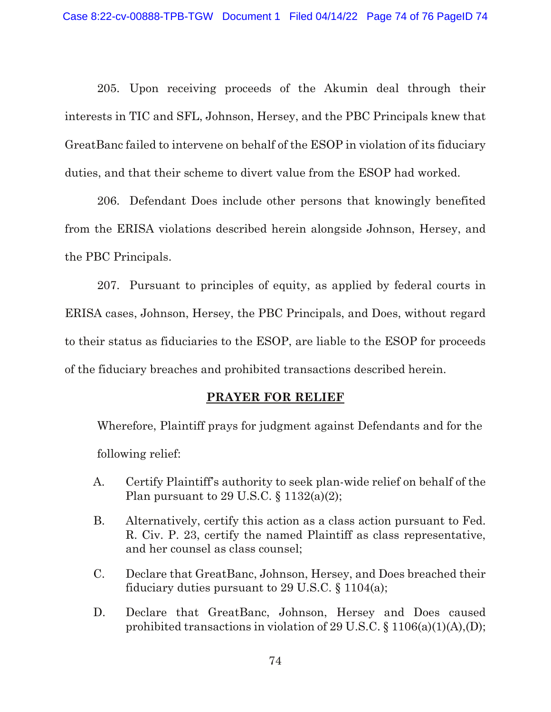205. Upon receiving proceeds of the Akumin deal through their interests in TIC and SFL, Johnson, Hersey, and the PBC Principals knew that GreatBanc failed to intervene on behalf of the ESOP in violation of its fiduciary duties, and that their scheme to divert value from the ESOP had worked.

206. Defendant Does include other persons that knowingly benefited from the ERISA violations described herein alongside Johnson, Hersey, and the PBC Principals.

207. Pursuant to principles of equity, as applied by federal courts in ERISA cases, Johnson, Hersey, the PBC Principals, and Does, without regard to their status as fiduciaries to the ESOP, are liable to the ESOP for proceeds of the fiduciary breaches and prohibited transactions described herein.

## **PRAYER FOR RELIEF**

Wherefore, Plaintiff prays for judgment against Defendants and for the following relief:

- A. Certify Plaintiff's authority to seek plan-wide relief on behalf of the Plan pursuant to 29 U.S.C.  $\S 1132(a)(2)$ ;
- B. Alternatively, certify this action as a class action pursuant to Fed. R. Civ. P. 23, certify the named Plaintiff as class representative, and her counsel as class counsel;
- C. Declare that GreatBanc, Johnson, Hersey, and Does breached their fiduciary duties pursuant to 29 U.S.C.  $\S 1104(a)$ ;
- D. Declare that GreatBanc, Johnson, Hersey and Does caused prohibited transactions in violation of 29 U.S.C. § 1106(a)(1)(A),(D);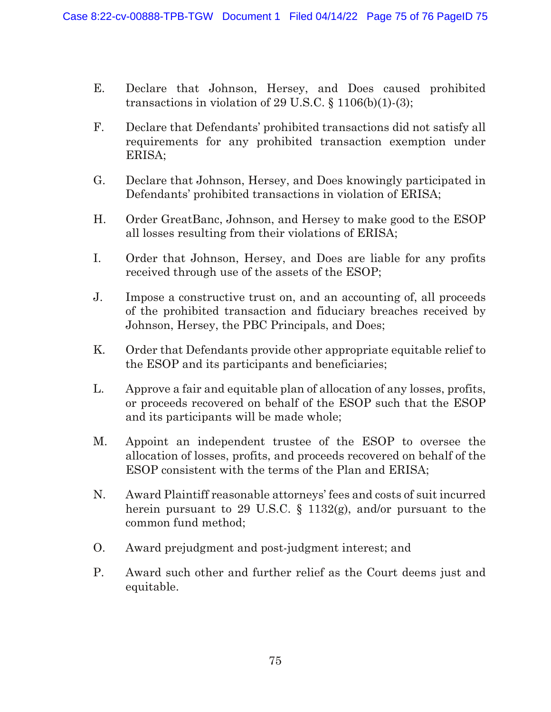- E. Declare that Johnson, Hersey, and Does caused prohibited transactions in violation of 29 U.S.C.  $\S$  1106(b)(1)-(3);
- F. Declare that Defendants' prohibited transactions did not satisfy all requirements for any prohibited transaction exemption under ERISA;
- G. Declare that Johnson, Hersey, and Does knowingly participated in Defendants' prohibited transactions in violation of ERISA;
- H. Order GreatBanc, Johnson, and Hersey to make good to the ESOP all losses resulting from their violations of ERISA;
- I. Order that Johnson, Hersey, and Does are liable for any profits received through use of the assets of the ESOP;
- J. Impose a constructive trust on, and an accounting of, all proceeds of the prohibited transaction and fiduciary breaches received by Johnson, Hersey, the PBC Principals, and Does;
- K. Order that Defendants provide other appropriate equitable relief to the ESOP and its participants and beneficiaries;
- L. Approve a fair and equitable plan of allocation of any losses, profits, or proceeds recovered on behalf of the ESOP such that the ESOP and its participants will be made whole;
- M. Appoint an independent trustee of the ESOP to oversee the allocation of losses, profits, and proceeds recovered on behalf of the ESOP consistent with the terms of the Plan and ERISA;
- N. Award Plaintiff reasonable attorneys' fees and costs of suit incurred herein pursuant to 29 U.S.C. § 1132(g), and/or pursuant to the common fund method;
- O. Award prejudgment and post-judgment interest; and
- P. Award such other and further relief as the Court deems just and equitable.